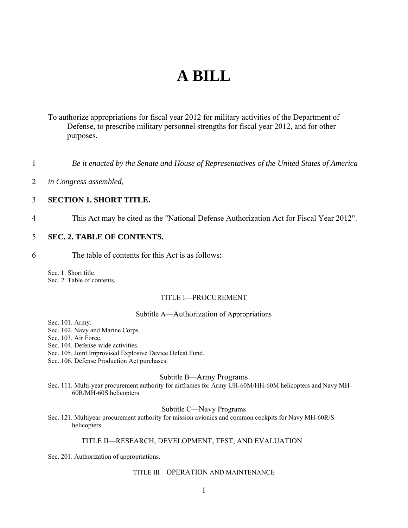# **A BILL**

To authorize appropriations for fiscal year 2012 for military activities of the Department of Defense, to prescribe military personnel strengths for fiscal year 2012, and for other purposes.

*Be it enacted by the Senate and House of Representatives of the United States of America*  1

*in Congress assembled,*  $\mathcal{L}$ 

#### 3 **SECTION 1. SHORT TITLE.**

4 This Act may be cited as the "National Defense Authorization Act for Fiscal Year 2012".

#### 5 **SEC. 2. TABLE OF CONTENTS.**

6 The table of contents for this Act is as follows:

Sec. 1. Short title. Sec. 2. Table of contents.

### TITLE I—PROCUREMENT

#### Subtitle A—Authorization of Appropriations

Sec. 101. Army.

Sec. 102. Navy and Marine Corps.

Sec. 103. Air Force.

- Sec. 104. Defense-wide activities.
- Sec. 105. Joint Improvised Explosive Device Defeat Fund.
- Sec. 106. Defense Production Act purchases.

#### Subtitle B—Army Programs

Sec. 111. Multi-year procurement authority for airframes for Army UH-60M/HH-60M helicopters and Navy MH-60R/MH-60S helicopters.

#### Subtitle C—Navy Programs

Sec. 121. Multiyear procurement authority for mission avionics and common cockpits for Navy MH-60R/S helicopters.

## TITLE II—RESEARCH, DEVELOPMENT, TEST, AND EVALUATION

Sec. 201. Authorization of appropriations.

#### TITLE III—OPERATION AND MAINTENANCE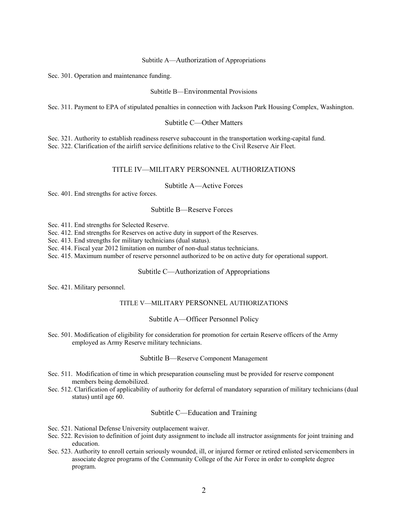#### Subtitle A—Authorization of Appropriations

Sec. 301. Operation and maintenance funding.

Subtitle B—Environmental Provisions

Sec. 311. Payment to EPA of stipulated penalties in connection with Jackson Park Housing Complex, Washington.

#### Subtitle C—Other Matters

Sec. 321. Authority to establish readiness reserve subaccount in the transportation working-capital fund. Sec. 322. Clarification of the airlift service definitions relative to the Civil Reserve Air Fleet.

#### TITLE IV—MILITARY PERSONNEL AUTHORIZATIONS

Subtitle A—Active Forces

Sec. 401. End strengths for active forces.

#### Subtitle B—Reserve Forces

Sec. 411. End strengths for Selected Reserve.

Sec. 412. End strengths for Reserves on active duty in support of the Reserves.

Sec. 413. End strengths for military technicians (dual status).

Sec. 414. Fiscal year 2012 limitation on number of non-dual status technicians.

Sec. 415. Maximum number of reserve personnel authorized to be on active duty for operational support.

#### Subtitle C—Authorization of Appropriations

Sec. 421. Military personnel.

#### TITLE V—MILITARY PERSONNEL AUTHORIZATIONS

#### Subtitle A—Officer Personnel Policy

Sec. 501. Modification of eligibility for consideration for promotion for certain Reserve officers of the Army employed as Army Reserve military technicians.

#### Subtitle B—Reserve Component Management

- Sec. 511. Modification of time in which preseparation counseling must be provided for reserve component members being demobilized.
- Sec. 512. Clarification of applicability of authority for deferral of mandatory separation of military technicians (dual status) until age 60.

#### Subtitle C—Education and Training

- Sec. 521. National Defense University outplacement waiver.
- Sec. 522. Revision to definition of joint duty assignment to include all instructor assignments for joint training and education.
- Sec. 523. Authority to enroll certain seriously wounded, ill, or injured former or retired enlisted servicemembers in associate degree programs of the Community College of the Air Force in order to complete degree program.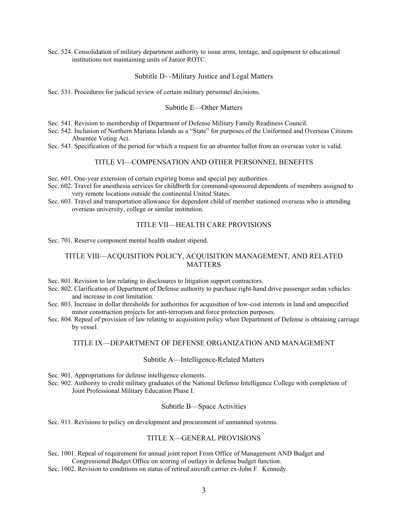Sec. 524. Consolidation of military department authority to issue arms, tentage, and equipment to educational institutions not maintaining units of Junior ROTC.

#### Subtitle D—Military Justice and Legal Matters

Sec. 531. Procedures for judicial review of certain military personnel decisions.

#### Subtitle E—Other Matters

- Sec. 541. Revision to membership of Department of Defense Military Family Readiness Council.
- Sec. 542. Inclusion of Northern Mariana Islands as a "State" for purposes of the Uniformed and Overseas Citizens Absentee Voting Act.
- Sec. 543. Specification of the period for which a request for an absentee ballot from an overseas voter is valid.

#### TITLE VI—COMPENSATION AND OTHER PERSONNEL BENEFITS

- Sec. 601. One-year extension of certain expiring bonus and special pay authorities.
- Sec. 602. Travel for anesthesia services for childbirth for command-sponsored dependents of members assigned to very remote locations outside the continental United States.
- Sec. 603. Travel and transportation allowance for dependent child of member stationed overseas who is attending overseas university, college or similar institution.

#### TITLE VII—HEALTH CARE PROVISIONS

Sec. 701. Reserve component mental health student stipend.

## TITLE VIII—ACQUISITION POLICY, ACQUISITION MANAGEMENT, AND RELATED MATTERS

- Sec. 801. Revision to law relating to disclosures to litigation support contractors.
- Sec. 802. Clarification of Department of Defense authority to purchase right-hand drive passenger sedan vehicles and increase in cost limitation.
- Sec. 803. Increase in dollar thresholds for authorities for acquisition of low-cost interests in land and unspecified minor construction projects for anti-terrorism and force protection purposes.
- Sec. 804. Repeal of provision of law relating to acquisition policy when Department of Defense is obtaining carriage by vessel.

#### TITLE IX—DEPARTMENT OF DEFENSE ORGANIZATION AND MANAGEMENT

#### Subtitle A—Intelligence-Related Matters

Sec. 901. Appropriations for defense intelligence elements.

Sec. 902. Authority to credit military graduates of the National Defense Intelligence College with completion of Joint Professional Military Education Phase I.

#### Subtitle B—Space Activities

Sec. 911. Revisions to policy on development and procurement of unmanned systems.

#### TITLE X—GENERAL PROVISIONS

Sec. 1001. Repeal of requirement for annual joint report From Office of Management AND Budget and Congressional Budget Office on scoring of outlays in defense budget function.

Sec. 1002. Revision to conditions on status of retired aircraft carrier ex-John F. Kennedy.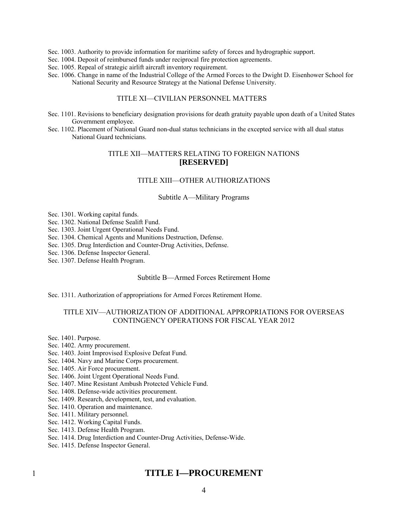Sec. 1003. Authority to provide information for maritime safety of forces and hydrographic support.

Sec. 1004. Deposit of reimbursed funds under reciprocal fire protection agreements.

Sec. 1005. Repeal of strategic airlift aircraft inventory requirement.

Sec. 1006. Change in name of the Industrial College of the Armed Forces to the Dwight D. Eisenhower School for National Security and Resource Strategy at the National Defense University.

## TITLE XI—CIVILIAN PERSONNEL MATTERS

- Sec. 1101. Revisions to beneficiary designation provisions for death gratuity payable upon death of a United States Government employee.
- Sec. 1102. Placement of National Guard non-dual status technicians in the excepted service with all dual status National Guard technicians.

## TITLE XII—MATTERS RELATING TO FOREIGN NATIONS **[RESERVED]**

## TITLE XIII—OTHER AUTHORIZATIONS

#### Subtitle A—Military Programs

Sec. 1301. Working capital funds.

Sec. 1302. National Defense Sealift Fund.

Sec. 1303. Joint Urgent Operational Needs Fund.

Sec. 1304. Chemical Agents and Munitions Destruction, Defense.

Sec. 1305. Drug Interdiction and Counter-Drug Activities, Defense.

Sec. 1306. Defense Inspector General.

Sec. 1307. Defense Health Program.

#### Subtitle B—Armed Forces Retirement Home

Sec. 1311. Authorization of appropriations for Armed Forces Retirement Home.

## TITLE XIV—AUTHORIZATION OF ADDITIONAL APPROPRIATIONS FOR OVERSEAS CONTINGENCY OPERATIONS FOR FISCAL YEAR 2012

Sec. 1401. Purpose.

- Sec. 1402. Army procurement.
- Sec. 1403. Joint Improvised Explosive Defeat Fund.
- Sec. 1404. Navy and Marine Corps procurement.
- Sec. 1405. Air Force procurement.
- Sec. 1406. Joint Urgent Operational Needs Fund.
- Sec. 1407. Mine Resistant Ambush Protected Vehicle Fund.
- Sec. 1408. Defense-wide activities procurement.
- Sec. 1409. Research, development, test, and evaluation.
- Sec. 1410. Operation and maintenance.
- Sec. 1411. Military personnel.
- Sec. 1412. Working Capital Funds.
- Sec. 1413. Defense Health Program.
- Sec. 1414. Drug Interdiction and Counter-Drug Activities, Defense-Wide.
- Sec. 1415. Defense Inspector General.

## **TITLE I—PROCUREMENT**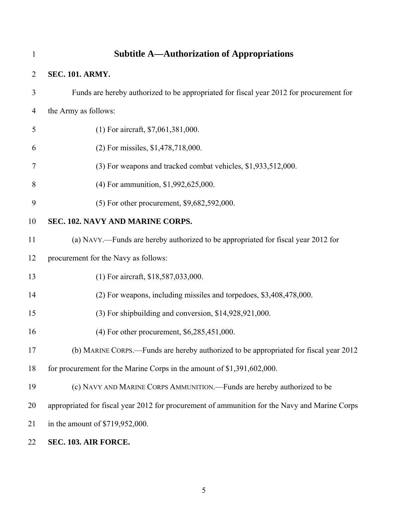| $\mathbf{1}$   | <b>Subtitle A—Authorization of Appropriations</b>                                             |
|----------------|-----------------------------------------------------------------------------------------------|
| $\overline{2}$ | <b>SEC. 101. ARMY.</b>                                                                        |
| 3              | Funds are hereby authorized to be appropriated for fiscal year 2012 for procurement for       |
| 4              | the Army as follows:                                                                          |
| 5              | (1) For aircraft, \$7,061,381,000.                                                            |
| 6              | (2) For missiles, \$1,478,718,000.                                                            |
| 7              | (3) For weapons and tracked combat vehicles, \$1,933,512,000.                                 |
| 8              | (4) For ammunition, \$1,992,625,000.                                                          |
| 9              | (5) For other procurement, \$9,682,592,000.                                                   |
| 10             | SEC. 102. NAVY AND MARINE CORPS.                                                              |
| 11             | (a) NAVY.—Funds are hereby authorized to be appropriated for fiscal year 2012 for             |
| 12             | procurement for the Navy as follows:                                                          |
| 13             | (1) For aircraft, \$18,587,033,000.                                                           |
| 14             | (2) For weapons, including missiles and torpedoes, \$3,408,478,000.                           |
| 15             | (3) For shipbuilding and conversion, \$14,928,921,000.                                        |
| 16             | (4) For other procurement, \$6,285,451,000.                                                   |
| 17             | (b) MARINE CORPS.—Funds are hereby authorized to be appropriated for fiscal year 2012         |
| 18             | for procurement for the Marine Corps in the amount of \$1,391,602,000.                        |
| 19             | (c) NAVY AND MARINE CORPS AMMUNITION.—Funds are hereby authorized to be                       |
| 20             | appropriated for fiscal year 2012 for procurement of ammunition for the Navy and Marine Corps |
| 21             | in the amount of \$719,952,000.                                                               |
| 22             | SEC. 103. AIR FORCE.                                                                          |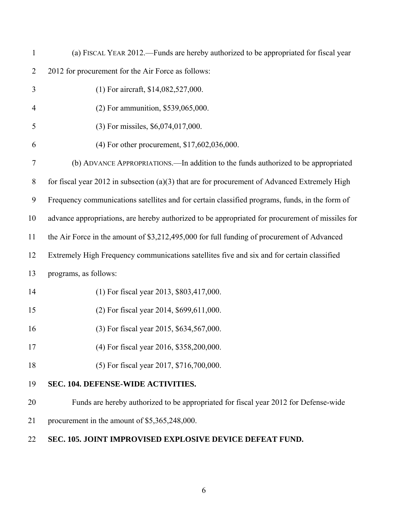| $\mathbf{1}$   | (a) FISCAL YEAR 2012.—Funds are hereby authorized to be appropriated for fiscal year             |
|----------------|--------------------------------------------------------------------------------------------------|
| $\overline{2}$ | 2012 for procurement for the Air Force as follows:                                               |
| 3              | (1) For aircraft, \$14,082,527,000.                                                              |
| 4              | (2) For ammunition, \$539,065,000.                                                               |
| 5              | (3) For missiles, \$6,074,017,000.                                                               |
| 6              | (4) For other procurement, \$17,602,036,000.                                                     |
| 7              | (b) ADVANCE APPROPRIATIONS.—In addition to the funds authorized to be appropriated               |
| $8\,$          | for fiscal year 2012 in subsection $(a)(3)$ that are for procurement of Advanced Extremely High  |
| 9              | Frequency communications satellites and for certain classified programs, funds, in the form of   |
| 10             | advance appropriations, are hereby authorized to be appropriated for procurement of missiles for |
| 11             | the Air Force in the amount of \$3,212,495,000 for full funding of procurement of Advanced       |
| 12             | Extremely High Frequency communications satellites five and six and for certain classified       |
| 13             | programs, as follows:                                                                            |
| 14             | (1) For fiscal year 2013, \$803,417,000.                                                         |
| 15             | (2) For fiscal year 2014, \$699,611,000.                                                         |
| 16             | (3) For fiscal year 2015, \$634,567,000.                                                         |
| 17             | (4) For fiscal year 2016, \$358,200,000.                                                         |
| 18             | (5) For fiscal year 2017, \$716,700,000.                                                         |
| 19             | SEC. 104. DEFENSE-WIDE ACTIVITIES.                                                               |
| 20             | Funds are hereby authorized to be appropriated for fiscal year 2012 for Defense-wide             |
| 21             | procurement in the amount of \$5,365,248,000.                                                    |
| 22             | SEC. 105. JOINT IMPROVISED EXPLOSIVE DEVICE DEFEAT FUND.                                         |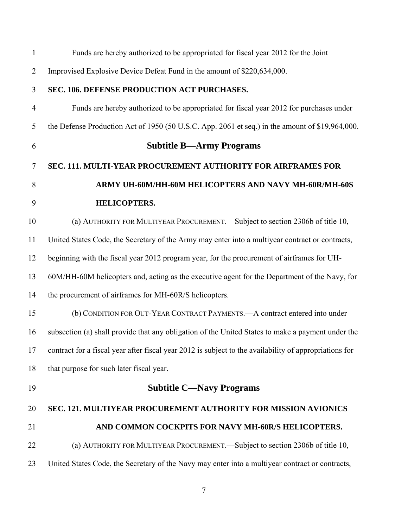| 1              | Funds are hereby authorized to be appropriated for fiscal year 2012 for the Joint                      |
|----------------|--------------------------------------------------------------------------------------------------------|
| $\overline{2}$ | Improvised Explosive Device Defeat Fund in the amount of \$220,634,000.                                |
| 3              | SEC. 106. DEFENSE PRODUCTION ACT PURCHASES.                                                            |
| $\overline{4}$ | Funds are hereby authorized to be appropriated for fiscal year 2012 for purchases under                |
| 5              | the Defense Production Act of 1950 (50 U.S.C. App. 2061 et seq.) in the amount of \$19,964,000.        |
| 6              | <b>Subtitle B—Army Programs</b>                                                                        |
| $\overline{7}$ | SEC. 111. MULTI-YEAR PROCUREMENT AUTHORITY FOR AIRFRAMES FOR                                           |
| 8              | ARMY UH-60M/HH-60M HELICOPTERS AND NAVY MH-60R/MH-60S                                                  |
| 9              | <b>HELICOPTERS.</b>                                                                                    |
| 10             | (a) AUTHORITY FOR MULTIYEAR PROCUREMENT.—Subject to section 2306b of title 10,                         |
| 11             | United States Code, the Secretary of the Army may enter into a multiyear contract or contracts,        |
| 12             | beginning with the fiscal year 2012 program year, for the procurement of airframes for UH-             |
| 13             | 60M/HH-60M helicopters and, acting as the executive agent for the Department of the Navy, for          |
| 14             | the procurement of airframes for MH-60R/S helicopters.                                                 |
| 15             | (b) CONDITION FOR OUT-YEAR CONTRACT PAYMENTS.—A contract entered into under                            |
| 16             | subsection (a) shall provide that any obligation of the United States to make a payment under the      |
| 17             | contract for a fiscal year after fiscal year 2012 is subject to the availability of appropriations for |
| 18             | that purpose for such later fiscal year.                                                               |
| 19             | <b>Subtitle C—Navy Programs</b>                                                                        |
| 20             | SEC. 121. MULTIYEAR PROCUREMENT AUTHORITY FOR MISSION AVIONICS                                         |
| 21             | AND COMMON COCKPITS FOR NAVY MH-60R/S HELICOPTERS.                                                     |
| 22             | (a) AUTHORITY FOR MULTIYEAR PROCUREMENT.—Subject to section 2306b of title 10,                         |
| 23             | United States Code, the Secretary of the Navy may enter into a multiyear contract or contracts,        |
|                |                                                                                                        |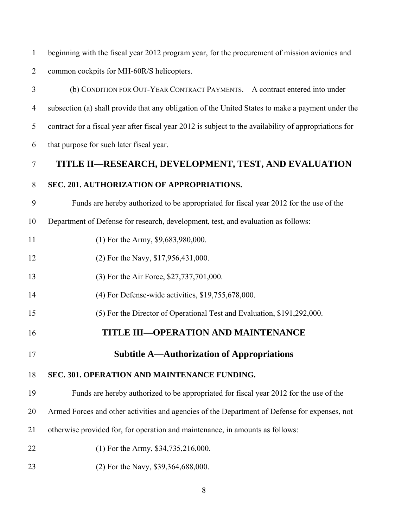1 2 beginning with the fiscal year 2012 program year, for the procurement of mission avionics and common cockpits for MH-60R/S helicopters.

- 3 4 5 6 7 8 9 10 11 12 13 14 (b) CONDITION FOR OUT-YEAR CONTRACT PAYMENTS.—A contract entered into under subsection (a) shall provide that any obligation of the United States to make a payment under the contract for a fiscal year after fiscal year 2012 is subject to the availability of appropriations for that purpose for such later fiscal year. **TITLE II—RESEARCH, DEVELOPMENT, TEST, AND EVALUATION SEC. 201. AUTHORIZATION OF APPROPRIATIONS.** Funds are hereby authorized to be appropriated for fiscal year 2012 for the use of the Department of Defense for research, development, test, and evaluation as follows: (1) For the Army, \$9,683,980,000. (2) For the Navy, \$17,956,431,000. (3) For the Air Force, \$27,737,701,000. (4) For Defense-wide activities, \$19,755,678,000.
- 15 (5) For the Director of Operational Test and Evaluation, \$191,292,000.
- 16 **TITLE III—OPERATION AND MAINTENANCE**
- 17 **Subtitle A—Authorization of Appropriations**

#### 18 **SEC. 301. OPERATION AND MAINTENANCE FUNDING.**

19 Funds are hereby authorized to be appropriated for fiscal year 2012 for the use of the

20 Armed Forces and other activities and agencies of the Department of Defense for expenses, not

- 21 otherwise provided for, for operation and maintenance, in amounts as follows:
- 22 (1) For the Army, \$34,735,216,000.
- 23 (2) For the Navy, \$39,364,688,000.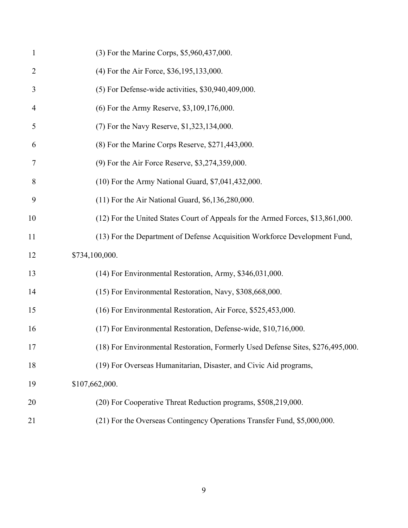| $\mathbf{1}$   | (3) For the Marine Corps, \$5,960,437,000.                                      |
|----------------|---------------------------------------------------------------------------------|
| $\overline{2}$ | (4) For the Air Force, \$36,195,133,000.                                        |
| 3              | $(5)$ For Defense-wide activities, \$30,940,409,000.                            |
| 4              | (6) For the Army Reserve, \$3,109,176,000.                                      |
| 5              | (7) For the Navy Reserve, \$1,323,134,000.                                      |
| 6              | (8) For the Marine Corps Reserve, \$271,443,000.                                |
| 7              | (9) For the Air Force Reserve, \$3,274,359,000.                                 |
| 8              | (10) For the Army National Guard, \$7,041,432,000.                              |
| 9              | (11) For the Air National Guard, \$6,136,280,000.                               |
| 10             | (12) For the United States Court of Appeals for the Armed Forces, \$13,861,000. |
| 11             | (13) For the Department of Defense Acquisition Workforce Development Fund,      |
| 12             | \$734,100,000.                                                                  |
| 13             | (14) For Environmental Restoration, Army, \$346,031,000.                        |
| 14             | (15) For Environmental Restoration, Navy, \$308,668,000.                        |
| 15             | (16) For Environmental Restoration, Air Force, \$525,453,000.                   |
| 16             | (17) For Environmental Restoration, Defense-wide, \$10,716,000.                 |
| 17             | (18) For Environmental Restoration, Formerly Used Defense Sites, \$276,495,000. |
| 18             | (19) For Overseas Humanitarian, Disaster, and Civic Aid programs,               |
| 19             | \$107,662,000.                                                                  |
| 20             | (20) For Cooperative Threat Reduction programs, \$508,219,000.                  |
| 21             | (21) For the Overseas Contingency Operations Transfer Fund, \$5,000,000.        |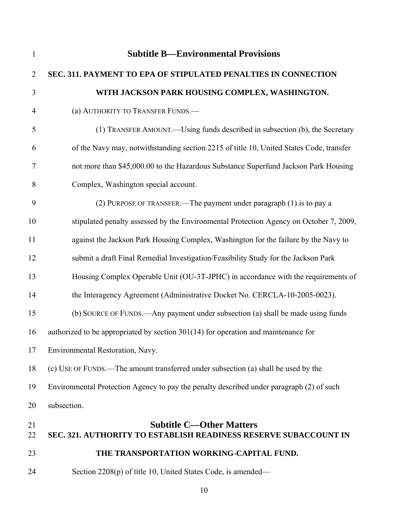| $\mathbf{1}$   | <b>Subtitle B—Environmental Provisions</b>                                                                 |
|----------------|------------------------------------------------------------------------------------------------------------|
| $\overline{2}$ | SEC. 311. PAYMENT TO EPA OF STIPULATED PENALTIES IN CONNECTION                                             |
| 3              | WITH JACKSON PARK HOUSING COMPLEX, WASHINGTON.                                                             |
| $\overline{4}$ | (a) AUTHORITY TO TRANSFER FUNDS.-                                                                          |
| 5              | (1) TRANSFER AMOUNT.—Using funds described in subsection (b), the Secretary                                |
| 6              | of the Navy may, notwithstanding section 2215 of title 10, United States Code, transfer                    |
| 7              | not more than \$45,000.00 to the Hazardous Substance Superfund Jackson Park Housing                        |
| 8              | Complex, Washington special account.                                                                       |
| 9              | (2) PURPOSE OF TRANSFER.—The payment under paragraph (1) is to pay a                                       |
| 10             | stipulated penalty assessed by the Environmental Protection Agency on October 7, 2009,                     |
| 11             | against the Jackson Park Housing Complex, Washington for the failure by the Navy to                        |
| 12             | submit a draft Final Remedial Investigation/Feasibility Study for the Jackson Park                         |
| 13             | Housing Complex Operable Unit (OU-3T-JPHC) in accordance with the requirements of                          |
| 14             | the Interagency Agreement (Administrative Docket No. CERCLA-10-2005-0023).                                 |
| 15             | (b) SOURCE OF FUNDS.—Any payment under subsection (a) shall be made using funds                            |
| 16             | authorized to be appropriated by section $301(14)$ for operation and maintenance for                       |
| $17$           | Environmental Restoration, Navy.                                                                           |
| 18             | (c) USE OF FUNDS.—The amount transferred under subsection (a) shall be used by the                         |
| 19             | Environmental Protection Agency to pay the penalty described under paragraph (2) of such                   |
| 20             | subsection.                                                                                                |
| 21<br>22       | <b>Subtitle C-Other Matters</b><br><b>SEC. 321. AUTHORITY TO ESTABLISH READINESS RESERVE SUBACCOUNT IN</b> |
| 23             | THE TRANSPORTATION WORKING-CAPITAL FUND.                                                                   |
| 24             | Section 2208(p) of title 10, United States Code, is amended—                                               |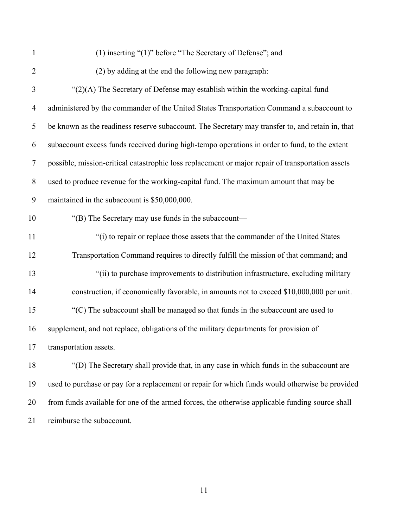1 2 3 4 5 6 7 8 9 10 11 12 13 14 15 16 17 18 19 20 (1) inserting "(1)" before "The Secretary of Defense"; and (2) by adding at the end the following new paragraph:  $\Gamma(2)$ (A) The Secretary of Defense may establish within the working-capital fund administered by the commander of the United States Transportation Command a subaccount to be known as the readiness reserve subaccount. The Secretary may transfer to, and retain in, that subaccount excess funds received during high-tempo operations in order to fund, to the extent possible, mission-critical catastrophic loss replacement or major repair of transportation assets used to produce revenue for the working-capital fund. The maximum amount that may be maintained in the subaccount is \$50,000,000. "(B) The Secretary may use funds in the subaccount— "(i) to repair or replace those assets that the commander of the United States Transportation Command requires to directly fulfill the mission of that command; and "(ii) to purchase improvements to distribution infrastructure, excluding military construction, if economically favorable, in amounts not to exceed \$10,000,000 per unit. "(C) The subaccount shall be managed so that funds in the subaccount are used to supplement, and not replace, obligations of the military departments for provision of transportation assets. "(D) The Secretary shall provide that, in any case in which funds in the subaccount are used to purchase or pay for a replacement or repair for which funds would otherwise be provided from funds available for one of the armed forces, the otherwise applicable funding source shall

21 reimburse the subaccount.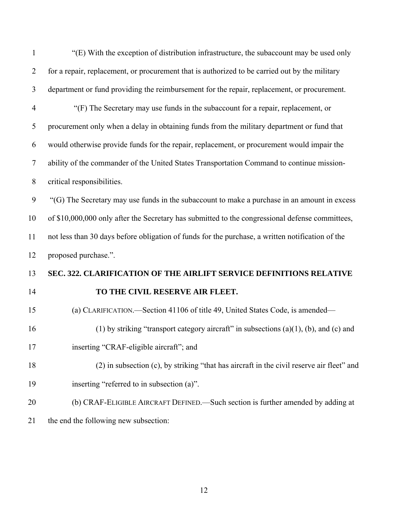| $\mathbf{1}$   | "(E) With the exception of distribution infrastructure, the subaccount may be used only          |
|----------------|--------------------------------------------------------------------------------------------------|
| $\overline{2}$ | for a repair, replacement, or procurement that is authorized to be carried out by the military   |
| 3              | department or fund providing the reimbursement for the repair, replacement, or procurement.      |
| $\overline{4}$ | "(F) The Secretary may use funds in the subaccount for a repair, replacement, or                 |
| 5              | procurement only when a delay in obtaining funds from the military department or fund that       |
| 6              | would otherwise provide funds for the repair, replacement, or procurement would impair the       |
| $\overline{7}$ | ability of the commander of the United States Transportation Command to continue mission-        |
| $8\,$          | critical responsibilities.                                                                       |
| 9              | "(G) The Secretary may use funds in the subaccount to make a purchase in an amount in excess     |
| 10             | of \$10,000,000 only after the Secretary has submitted to the congressional defense committees,  |
| 11             | not less than 30 days before obligation of funds for the purchase, a written notification of the |
| 12             | proposed purchase.".                                                                             |
| 13             | SEC. 322. CLARIFICATION OF THE AIRLIFT SERVICE DEFINITIONS RELATIVE                              |
| 14             | TO THE CIVIL RESERVE AIR FLEET.                                                                  |
| 15             | (a) CLARIFICATION.—Section 41106 of title 49, United States Code, is amended—                    |
| 16             | (1) by striking "transport category aircraft" in subsections $(a)(1)$ , $(b)$ , and $(c)$ and    |
| 17             | inserting "CRAF-eligible aircraft"; and                                                          |
| 18             | (2) in subsection (c), by striking "that has aircraft in the civil reserve air fleet" and        |
| 19             | inserting "referred to in subsection (a)".                                                       |
| 20             | (b) CRAF-ELIGIBLE AIRCRAFT DEFINED. Such section is further amended by adding at                 |
| 21             | the end the following new subsection:                                                            |
|                |                                                                                                  |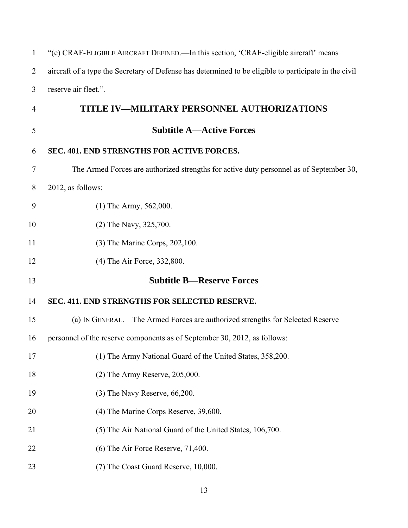| $\mathbf{1}$   | "(e) CRAF-ELIGIBLE AIRCRAFT DEFINED.—In this section, 'CRAF-eligible aircraft' means                  |
|----------------|-------------------------------------------------------------------------------------------------------|
| $\overline{2}$ | aircraft of a type the Secretary of Defense has determined to be eligible to participate in the civil |
| 3              | reserve air fleet.".                                                                                  |
| 4              | TITLE IV-MILITARY PERSONNEL AUTHORIZATIONS                                                            |
| 5              | <b>Subtitle A—Active Forces</b>                                                                       |
| 6              | SEC. 401. END STRENGTHS FOR ACTIVE FORCES.                                                            |
| 7              | The Armed Forces are authorized strengths for active duty personnel as of September 30,               |
| 8              | 2012, as follows:                                                                                     |
| 9              | $(1)$ The Army, 562,000.                                                                              |
| 10             | (2) The Navy, 325,700.                                                                                |
| 11             | (3) The Marine Corps, 202,100.                                                                        |
| 12             | (4) The Air Force, 332,800.                                                                           |
| 13             | <b>Subtitle B-Reserve Forces</b>                                                                      |
| 14             | SEC. 411. END STRENGTHS FOR SELECTED RESERVE.                                                         |
| 15             | (a) IN GENERAL.—The Armed Forces are authorized strengths for Selected Reserve                        |
| 16             | personnel of the reserve components as of September 30, 2012, as follows:                             |
| 17             | (1) The Army National Guard of the United States, 358,200.                                            |
| 18             | $(2)$ The Army Reserve, 205,000.                                                                      |
| 19             | $(3)$ The Navy Reserve, 66,200.                                                                       |
| 20             | (4) The Marine Corps Reserve, 39,600.                                                                 |
| 21             | (5) The Air National Guard of the United States, 106,700.                                             |
| 22             | (6) The Air Force Reserve, 71,400.                                                                    |
| 23             | (7) The Coast Guard Reserve, 10,000.                                                                  |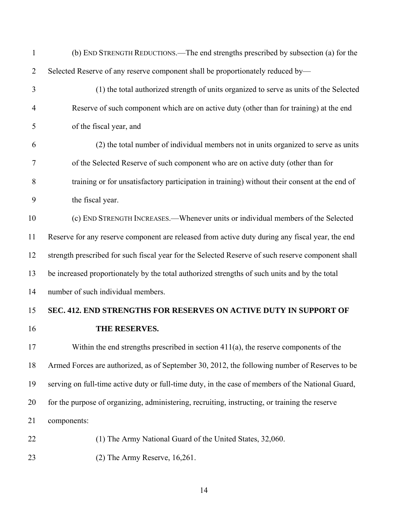| $\mathbf{1}$   | (b) END STRENGTH REDUCTIONS.—The end strengths prescribed by subsection (a) for the               |
|----------------|---------------------------------------------------------------------------------------------------|
| $\overline{2}$ | Selected Reserve of any reserve component shall be proportionately reduced by-                    |
| 3              | (1) the total authorized strength of units organized to serve as units of the Selected            |
| $\overline{4}$ | Reserve of such component which are on active duty (other than for training) at the end           |
| 5              | of the fiscal year, and                                                                           |
| 6              | (2) the total number of individual members not in units organized to serve as units               |
| $\tau$         | of the Selected Reserve of such component who are on active duty (other than for                  |
| 8              | training or for unsatisfactory participation in training) without their consent at the end of     |
| 9              | the fiscal year.                                                                                  |
| 10             | (c) END STRENGTH INCREASES.—Whenever units or individual members of the Selected                  |
| 11             | Reserve for any reserve component are released from active duty during any fiscal year, the end   |
| 12             | strength prescribed for such fiscal year for the Selected Reserve of such reserve component shall |
| 13             | be increased proportionately by the total authorized strengths of such units and by the total     |
| 14             | number of such individual members.                                                                |
| 15             | SEC. 412. END STRENGTHS FOR RESERVES ON ACTIVE DUTY IN SUPPORT OF                                 |
| 16             | THE RESERVES.                                                                                     |
| 17             | Within the end strengths prescribed in section $411(a)$ , the reserve components of the           |
| 18             | Armed Forces are authorized, as of September 30, 2012, the following number of Reserves to be     |
| 19             | serving on full-time active duty or full-time duty, in the case of members of the National Guard, |
| 20             | for the purpose of organizing, administering, recruiting, instructing, or training the reserve    |
| 21             | components:                                                                                       |
| 22             | (1) The Army National Guard of the United States, 32,060.                                         |
| 23             | $(2)$ The Army Reserve, 16,261.                                                                   |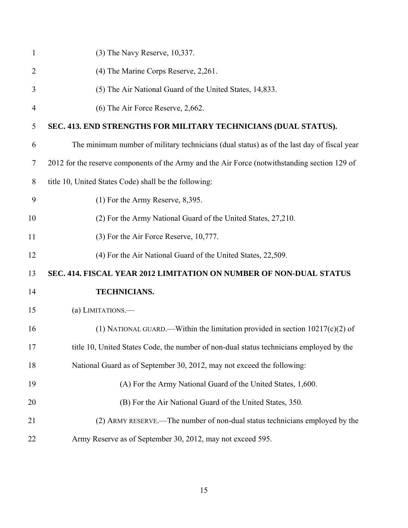| $\mathbf{1}$   | (3) The Navy Reserve, 10,337.                                                                 |
|----------------|-----------------------------------------------------------------------------------------------|
| $\overline{2}$ | (4) The Marine Corps Reserve, 2,261.                                                          |
| 3              | (5) The Air National Guard of the United States, 14,833.                                      |
| 4              | (6) The Air Force Reserve, 2,662.                                                             |
| 5              | SEC. 413. END STRENGTHS FOR MILITARY TECHNICIANS (DUAL STATUS).                               |
| 6              | The minimum number of military technicians (dual status) as of the last day of fiscal year    |
| 7              | 2012 for the reserve components of the Army and the Air Force (notwithstanding section 129 of |
| 8              | title 10, United States Code) shall be the following:                                         |
| 9              | $(1)$ For the Army Reserve, 8,395.                                                            |
| 10             | (2) For the Army National Guard of the United States, 27,210.                                 |
| 11             | (3) For the Air Force Reserve, 10,777.                                                        |
| 12             | (4) For the Air National Guard of the United States, 22,509.                                  |
| 13             | SEC. 414. FISCAL YEAR 2012 LIMITATION ON NUMBER OF NON-DUAL STATUS                            |
| 14             | TECHNICIANS.                                                                                  |
| 15             | (a) LIMITATIONS.-                                                                             |
| 16             | (1) NATIONAL GUARD.—Within the limitation provided in section $10217(c)(2)$ of                |
| 17             | title 10, United States Code, the number of non-dual status technicians employed by the       |
| 18             | National Guard as of September 30, 2012, may not exceed the following:                        |
| 19             | (A) For the Army National Guard of the United States, 1,600.                                  |
| 20             | (B) For the Air National Guard of the United States, 350.                                     |
| 21             | (2) ARMY RESERVE.—The number of non-dual status technicians employed by the                   |
| 22             | Army Reserve as of September 30, 2012, may not exceed 595.                                    |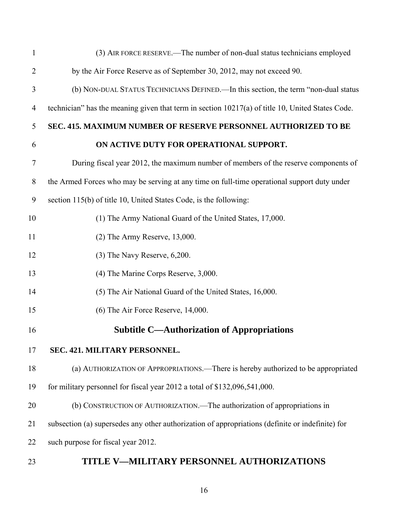| $\mathbf{1}$   | (3) AIR FORCE RESERVE.—The number of non-dual status technicians employed                        |
|----------------|--------------------------------------------------------------------------------------------------|
| $\overline{2}$ | by the Air Force Reserve as of September 30, 2012, may not exceed 90.                            |
| 3              | (b) NON-DUAL STATUS TECHNICIANS DEFINED.—In this section, the term "non-dual status              |
| 4              | technician" has the meaning given that term in section 10217(a) of title 10, United States Code. |
| 5              | SEC. 415. MAXIMUM NUMBER OF RESERVE PERSONNEL AUTHORIZED TO BE                                   |
| 6              | ON ACTIVE DUTY FOR OPERATIONAL SUPPORT.                                                          |
| 7              | During fiscal year 2012, the maximum number of members of the reserve components of              |
| 8              | the Armed Forces who may be serving at any time on full-time operational support duty under      |
| 9              | section 115(b) of title 10, United States Code, is the following:                                |
| 10             | (1) The Army National Guard of the United States, 17,000.                                        |
| 11             | $(2)$ The Army Reserve, 13,000.                                                                  |
| 12             | $(3)$ The Navy Reserve, $6,200$ .                                                                |
| 13             | (4) The Marine Corps Reserve, 3,000.                                                             |
| 14             | (5) The Air National Guard of the United States, 16,000.                                         |
| 15             | (6) The Air Force Reserve, 14,000.                                                               |
| 16             | <b>Subtitle C—Authorization of Appropriations</b>                                                |
| 17             | SEC. 421. MILITARY PERSONNEL.                                                                    |
| 18             | (a) AUTHORIZATION OF APPROPRIATIONS.—There is hereby authorized to be appropriated               |
| 19             | for military personnel for fiscal year 2012 a total of \$132,096,541,000.                        |
| 20             | (b) CONSTRUCTION OF AUTHORIZATION.—The authorization of appropriations in                        |
| 21             | subsection (a) supersedes any other authorization of appropriations (definite or indefinite) for |
| 22             | such purpose for fiscal year 2012.                                                               |
|                |                                                                                                  |

23 **TITLE V—MILITARY PERSONNEL AUTHORIZATIONS**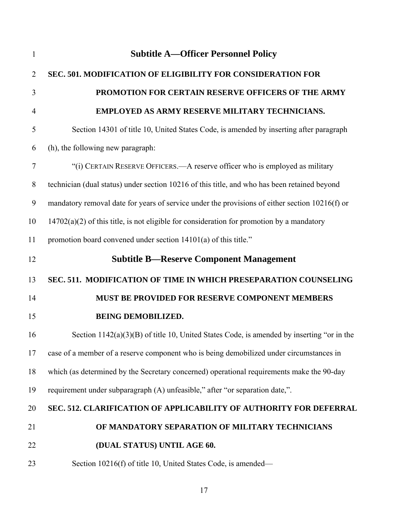| $\mathbf{1}$   | <b>Subtitle A—Officer Personnel Policy</b>                                                     |
|----------------|------------------------------------------------------------------------------------------------|
| $\overline{2}$ | SEC. 501. MODIFICATION OF ELIGIBILITY FOR CONSIDERATION FOR                                    |
| 3              | PROMOTION FOR CERTAIN RESERVE OFFICERS OF THE ARMY                                             |
| 4              | EMPLOYED AS ARMY RESERVE MILITARY TECHNICIANS.                                                 |
| 5              | Section 14301 of title 10, United States Code, is amended by inserting after paragraph         |
| 6              | (h), the following new paragraph:                                                              |
| $\overline{7}$ | "(i) CERTAIN RESERVE OFFICERS.—A reserve officer who is employed as military                   |
| 8              | technician (dual status) under section 10216 of this title, and who has been retained beyond   |
| 9              | mandatory removal date for years of service under the provisions of either section 10216(f) or |
| 10             | $14702(a)(2)$ of this title, is not eligible for consideration for promotion by a mandatory    |
| 11             | promotion board convened under section 14101(a) of this title."                                |
| 12             | <b>Subtitle B—Reserve Component Management</b>                                                 |
| 13             | SEC. 511. MODIFICATION OF TIME IN WHICH PRESEPARATION COUNSELING                               |
| 14             | MUST BE PROVIDED FOR RESERVE COMPONENT MEMBERS                                                 |
| 15             | <b>BEING DEMOBILIZED.</b>                                                                      |
| 16             | Section $1142(a)(3)(B)$ of title 10, United States Code, is amended by inserting "or in the    |
| 17             | case of a member of a reserve component who is being demobilized under circumstances in        |
| 18             | which (as determined by the Secretary concerned) operational requirements make the 90-day      |
| 19             | requirement under subparagraph (A) unfeasible," after "or separation date,".                   |
| 20             | SEC. 512. CLARIFICATION OF APPLICABILITY OF AUTHORITY FOR DEFERRAL                             |
| 21             | OF MANDATORY SEPARATION OF MILITARY TECHNICIANS                                                |
| 22             | (DUAL STATUS) UNTIL AGE 60.                                                                    |
| 23             | Section 10216(f) of title 10, United States Code, is amended—                                  |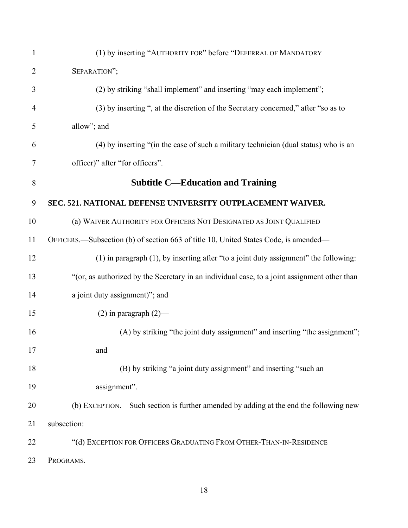| $\mathbf{1}$   | (1) by inserting "AUTHORITY FOR" before "DEFERRAL OF MANDATORY                               |
|----------------|----------------------------------------------------------------------------------------------|
| $\overline{2}$ | SEPARATION";                                                                                 |
| 3              | (2) by striking "shall implement" and inserting "may each implement";                        |
| $\overline{4}$ | (3) by inserting ", at the discretion of the Secretary concerned," after "so as to           |
| 5              | allow"; and                                                                                  |
| 6              | (4) by inserting "(in the case of such a military technician (dual status) who is an         |
| $\overline{7}$ | officer)" after "for officers".                                                              |
| 8              | <b>Subtitle C—Education and Training</b>                                                     |
| 9              | SEC. 521. NATIONAL DEFENSE UNIVERSITY OUTPLACEMENT WAIVER.                                   |
| 10             | (a) WAIVER AUTHORITY FOR OFFICERS NOT DESIGNATED AS JOINT QUALIFIED                          |
| 11             | OFFICERS.—Subsection (b) of section 663 of title 10, United States Code, is amended—         |
| 12             | $(1)$ in paragraph $(1)$ , by inserting after "to a joint duty assignment" the following:    |
| 13             | "(or, as authorized by the Secretary in an individual case, to a joint assignment other than |
| 14             | a joint duty assignment)"; and                                                               |
| 15             | $(2)$ in paragraph $(2)$ —                                                                   |
| 16             | (A) by striking "the joint duty assignment" and inserting "the assignment";                  |
| 17             | and                                                                                          |
| 18             | (B) by striking "a joint duty assignment" and inserting "such an                             |
| 19             | assignment".                                                                                 |
| 20             | (b) EXCEPTION.—Such section is further amended by adding at the end the following new        |
| 21             | subsection:                                                                                  |
| 22             | "(d) EXCEPTION FOR OFFICERS GRADUATING FROM OTHER-THAN-IN-RESIDENCE                          |
| 23             | PROGRAMS.-                                                                                   |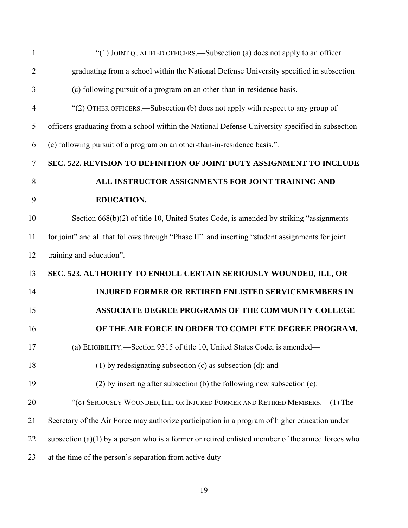| $\mathbf{1}$   | "(1) JOINT QUALIFIED OFFICERS.—Subsection (a) does not apply to an officer                         |
|----------------|----------------------------------------------------------------------------------------------------|
| $\overline{2}$ | graduating from a school within the National Defense University specified in subsection            |
| 3              | (c) following pursuit of a program on an other-than-in-residence basis.                            |
| $\overline{4}$ | "(2) OTHER OFFICERS.—Subsection (b) does not apply with respect to any group of                    |
| 5              | officers graduating from a school within the National Defense University specified in subsection   |
| 6              | (c) following pursuit of a program on an other-than-in-residence basis.".                          |
| 7              | SEC. 522. REVISION TO DEFINITION OF JOINT DUTY ASSIGNMENT TO INCLUDE                               |
| 8              | ALL INSTRUCTOR ASSIGNMENTS FOR JOINT TRAINING AND                                                  |
| 9              | <b>EDUCATION.</b>                                                                                  |
| 10             | Section 668(b)(2) of title 10, United States Code, is amended by striking "assignments"            |
| 11             | for joint" and all that follows through "Phase II" and inserting "student assignments for joint    |
| 12             | training and education".                                                                           |
| 13             | SEC. 523. AUTHORITY TO ENROLL CERTAIN SERIOUSLY WOUNDED, ILL, OR                                   |
| 14             | <b>INJURED FORMER OR RETIRED ENLISTED SERVICEMEMBERS IN</b>                                        |
| 15             | ASSOCIATE DEGREE PROGRAMS OF THE COMMUNITY COLLEGE                                                 |
| 16             | OF THE AIR FORCE IN ORDER TO COMPLETE DEGREE PROGRAM.                                              |
| 17             | (a) ELIGIBILITY.-Section 9315 of title 10, United States Code, is amended-                         |
| 18             | (1) by redesignating subsection (c) as subsection (d); and                                         |
| 19             | $(2)$ by inserting after subsection (b) the following new subsection (c):                          |
| 20             | "(c) SERIOUSLY WOUNDED, ILL, OR INJURED FORMER AND RETIRED MEMBERS.-- (1) The                      |
| 21             | Secretary of the Air Force may authorize participation in a program of higher education under      |
| 22             | subsection $(a)(1)$ by a person who is a former or retired enlisted member of the armed forces who |
| 23             | at the time of the person's separation from active duty-                                           |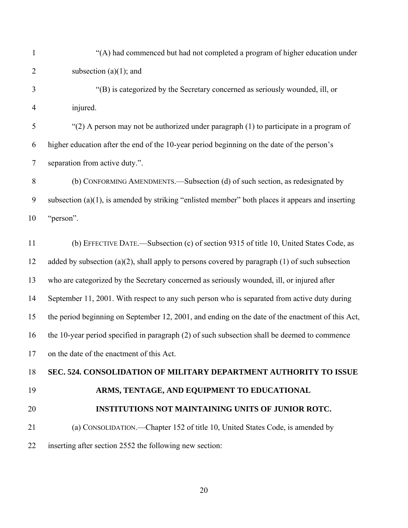| $\mathbf{1}$   | "(A) had commenced but had not completed a program of higher education under                        |
|----------------|-----------------------------------------------------------------------------------------------------|
| $\overline{2}$ | subsection $(a)(1)$ ; and                                                                           |
| 3              | "(B) is categorized by the Secretary concerned as seriously wounded, ill, or                        |
| $\overline{4}$ | injured.                                                                                            |
| 5              | "(2) A person may not be authorized under paragraph (1) to participate in a program of              |
| 6              | higher education after the end of the 10-year period beginning on the date of the person's          |
| $\tau$         | separation from active duty.".                                                                      |
| $\, 8$         | (b) CONFORMING AMENDMENTS.—Subsection (d) of such section, as redesignated by                       |
| 9              | subsection $(a)(1)$ , is amended by striking "enlisted member" both places it appears and inserting |
| 10             | "person".                                                                                           |
| 11             | (b) EFFECTIVE DATE.—Subsection (c) of section 9315 of title 10, United States Code, as              |
| 12             | added by subsection $(a)(2)$ , shall apply to persons covered by paragraph $(1)$ of such subsection |
| 13             | who are categorized by the Secretary concerned as seriously wounded, ill, or injured after          |
| 14             | September 11, 2001. With respect to any such person who is separated from active duty during        |
| 15             | the period beginning on September 12, 2001, and ending on the date of the enactment of this Act,    |
| 16             | the 10-year period specified in paragraph (2) of such subsection shall be deemed to commence        |
| 17             | on the date of the enactment of this Act.                                                           |
| 18             | SEC. 524. CONSOLIDATION OF MILITARY DEPARTMENT AUTHORITY TO ISSUE                                   |
| 19             | ARMS, TENTAGE, AND EQUIPMENT TO EDUCATIONAL                                                         |
| 20             | <b>INSTITUTIONS NOT MAINTAINING UNITS OF JUNIOR ROTC.</b>                                           |
| 21             | (a) CONSOLIDATION.—Chapter 152 of title 10, United States Code, is amended by                       |
| 22             | inserting after section 2552 the following new section:                                             |
|                |                                                                                                     |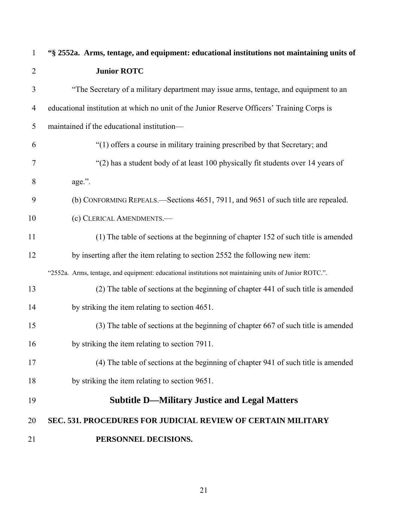| $\mathbf{1}$   | "§ 2552a. Arms, tentage, and equipment: educational institutions not maintaining units of              |
|----------------|--------------------------------------------------------------------------------------------------------|
| $\overline{2}$ | <b>Junior ROTC</b>                                                                                     |
| 3              | "The Secretary of a military department may issue arms, tentage, and equipment to an                   |
| 4              | educational institution at which no unit of the Junior Reserve Officers' Training Corps is             |
| 5              | maintained if the educational institution-                                                             |
| 6              | "(1) offers a course in military training prescribed by that Secretary; and                            |
| 7              | "(2) has a student body of at least 100 physically fit students over 14 years of                       |
| 8              | age.".                                                                                                 |
| 9              | (b) CONFORMING REPEALS.—Sections 4651, 7911, and 9651 of such title are repealed.                      |
| 10             | (c) CLERICAL AMENDMENTS.-                                                                              |
| 11             | (1) The table of sections at the beginning of chapter 152 of such title is amended                     |
| 12             | by inserting after the item relating to section 2552 the following new item:                           |
|                | "2552a. Arms, tentage, and equipment: educational institutions not maintaining units of Junior ROTC.". |
| 13             | (2) The table of sections at the beginning of chapter 441 of such title is amended                     |
| 14             | by striking the item relating to section 4651.                                                         |
| 15             | (3) The table of sections at the beginning of chapter 667 of such title is amended                     |
| 16             | by striking the item relating to section 7911.                                                         |
| 17             | (4) The table of sections at the beginning of chapter 941 of such title is amended                     |
| 18             | by striking the item relating to section 9651.                                                         |
| 19             | <b>Subtitle D-Military Justice and Legal Matters</b>                                                   |
| 20             | <b>SEC. 531. PROCEDURES FOR JUDICIAL REVIEW OF CERTAIN MILITARY</b>                                    |
| 21             | PERSONNEL DECISIONS.                                                                                   |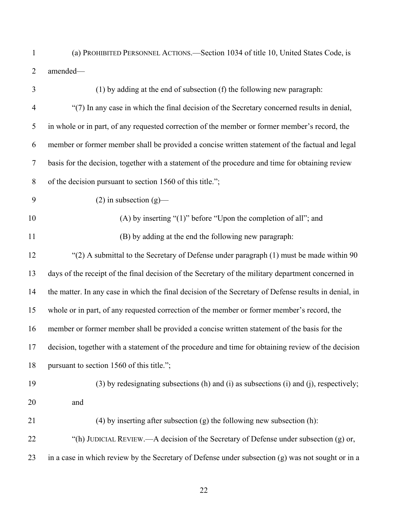- (a) PROHIBITED PERSONNEL ACTIONS.—Section 1034 of title 10, United States Code, is amended— 1 2
- 3 4 5 6 7 8 9 10 11 12 13 14 15 16 17 18 19 20 21 22 23 (1) by adding at the end of subsection (f) the following new paragraph: "(7) In any case in which the final decision of the Secretary concerned results in denial, in whole or in part, of any requested correction of the member or former member's record, the member or former member shall be provided a concise written statement of the factual and legal basis for the decision, together with a statement of the procedure and time for obtaining review of the decision pursuant to section 1560 of this title.";  $(2)$  in subsection  $(g)$ — (A) by inserting "(1)" before "Upon the completion of all"; and (B) by adding at the end the following new paragraph: "(2) A submittal to the Secretary of Defense under paragraph (1) must be made within 90 days of the receipt of the final decision of the Secretary of the military department concerned in the matter. In any case in which the final decision of the Secretary of Defense results in denial, in whole or in part, of any requested correction of the member or former member's record, the member or former member shall be provided a concise written statement of the basis for the decision, together with a statement of the procedure and time for obtaining review of the decision pursuant to section 1560 of this title."; (3) by redesignating subsections (h) and (i) as subsections (i) and (j), respectively; and (4) by inserting after subsection (g) the following new subsection (h): "(h) JUDICIAL REVIEW.—A decision of the Secretary of Defense under subsection (g) or, in a case in which review by the Secretary of Defense under subsection  $(g)$  was not sought or in a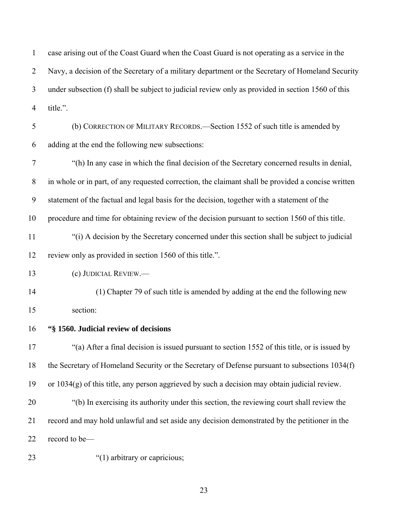1 2 3 4 5 6 7 8 9 10 11 12 13 14 15 16 17 case arising out of the Coast Guard when the Coast Guard is not operating as a service in the Navy, a decision of the Secretary of a military department or the Secretary of Homeland Security under subsection (f) shall be subject to judicial review only as provided in section 1560 of this title.". (b) CORRECTION OF MILITARY RECORDS.—Section 1552 of such title is amended by adding at the end the following new subsections: "(h) In any case in which the final decision of the Secretary concerned results in denial, in whole or in part, of any requested correction, the claimant shall be provided a concise written statement of the factual and legal basis for the decision, together with a statement of the procedure and time for obtaining review of the decision pursuant to section 1560 of this title. "(i) A decision by the Secretary concerned under this section shall be subject to judicial review only as provided in section 1560 of this title.". (c) JUDICIAL REVIEW.— (1) Chapter 79 of such title is amended by adding at the end the following new section: **"§ 1560. Judicial review of decisions**  "(a) After a final decision is issued pursuant to section 1552 of this title, or is issued by

18 19 20 21 the Secretary of Homeland Security or the Secretary of Defense pursuant to subsections 1034(f) or 1034(g) of this title, any person aggrieved by such a decision may obtain judicial review. "(b) In exercising its authority under this section, the reviewing court shall review the record and may hold unlawful and set aside any decision demonstrated by the petitioner in the

22 record to be—

23

"(1) arbitrary or capricious;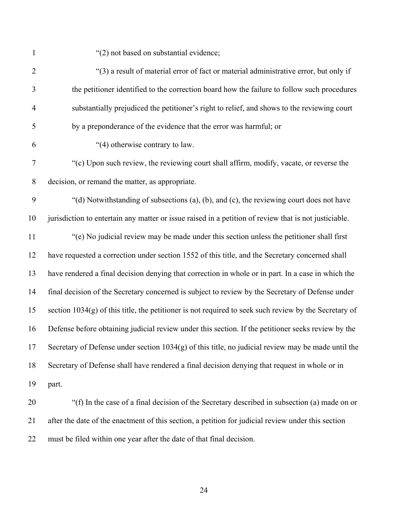"(2) not based on substantial evidence;

| $\overline{2}$   | "(3) a result of material error of fact or material administrative error, but only if                   |
|------------------|---------------------------------------------------------------------------------------------------------|
| 3                | the petitioner identified to the correction board how the failure to follow such procedures             |
| $\overline{4}$   | substantially prejudiced the petitioner's right to relief, and shows to the reviewing court             |
| 5                | by a preponderance of the evidence that the error was harmful; or                                       |
| 6                | "(4) otherwise contrary to law.                                                                         |
| $\boldsymbol{7}$ | "(c) Upon such review, the reviewing court shall affirm, modify, vacate, or reverse the                 |
| $\,8\,$          | decision, or remand the matter, as appropriate.                                                         |
| 9                | "(d) Notwithstanding of subsections (a), (b), and (c), the reviewing court does not have                |
| 10               | jurisdiction to entertain any matter or issue raised in a petition of review that is not justiciable.   |
| 11               | "(e) No judicial review may be made under this section unless the petitioner shall first                |
| 12               | have requested a correction under section 1552 of this title, and the Secretary concerned shall         |
| 13               | have rendered a final decision denying that correction in whole or in part. In a case in which the      |
| 14               | final decision of the Secretary concerned is subject to review by the Secretary of Defense under        |
| 15               | section $1034(g)$ of this title, the petitioner is not required to seek such review by the Secretary of |
| 16               | Defense before obtaining judicial review under this section. If the petitioner seeks review by the      |
| 17               | Secretary of Defense under section $1034(g)$ of this title, no judicial review may be made until the    |
| 18               | Secretary of Defense shall have rendered a final decision denying that request in whole or in           |
| 19               | part.                                                                                                   |
| 20               | "(f) In the case of a final decision of the Secretary described in subsection (a) made on or            |
| 21               | after the date of the enactment of this section, a petition for judicial review under this section      |
| 22               | must be filed within one year after the date of that final decision.                                    |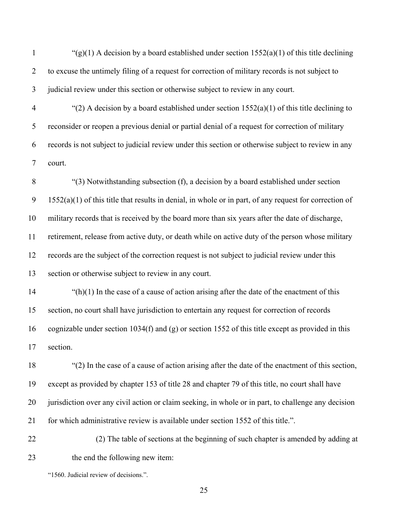1 2 3 " $(g)(1)$  A decision by a board established under section 1552(a)(1) of this title declining to excuse the untimely filing of a request for correction of military records is not subject to judicial review under this section or otherwise subject to review in any court.

4 5 6 7 "(2) A decision by a board established under section  $1552(a)(1)$  of this title declining to reconsider or reopen a previous denial or partial denial of a request for correction of military records is not subject to judicial review under this section or otherwise subject to review in any court.

8 9 10 11 12 13 "(3) Notwithstanding subsection (f), a decision by a board established under section 1552(a)(1) of this title that results in denial, in whole or in part, of any request for correction of military records that is received by the board more than six years after the date of discharge, retirement, release from active duty, or death while on active duty of the person whose military records are the subject of the correction request is not subject to judicial review under this section or otherwise subject to review in any court.

14 15 16 17  $\lq$ (h)(1) In the case of a cause of action arising after the date of the enactment of this section, no court shall have jurisdiction to entertain any request for correction of records cognizable under section  $1034(f)$  and (g) or section 1552 of this title except as provided in this section.

18 19 20 21 "(2) In the case of a cause of action arising after the date of the enactment of this section, except as provided by chapter 153 of title 28 and chapter 79 of this title, no court shall have jurisdiction over any civil action or claim seeking, in whole or in part, to challenge any decision for which administrative review is available under section 1552 of this title.".

22 23 (2) The table of sections at the beginning of such chapter is amended by adding at the end the following new item:

"1560. Judicial review of decisions.".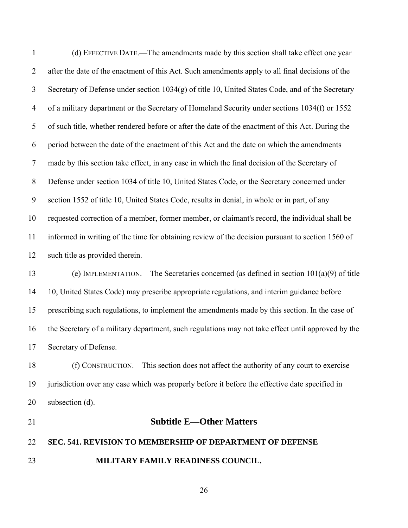1 2 3 4 5 6 7 8 9 10 11 12 13 14 (d) EFFECTIVE DATE.—The amendments made by this section shall take effect one year after the date of the enactment of this Act. Such amendments apply to all final decisions of the Secretary of Defense under section 1034(g) of title 10, United States Code, and of the Secretary of a military department or the Secretary of Homeland Security under sections 1034(f) or 1552 of such title, whether rendered before or after the date of the enactment of this Act. During the period between the date of the enactment of this Act and the date on which the amendments made by this section take effect, in any case in which the final decision of the Secretary of Defense under section 1034 of title 10, United States Code, or the Secretary concerned under section 1552 of title 10, United States Code, results in denial, in whole or in part, of any requested correction of a member, former member, or claimant's record, the individual shall be informed in writing of the time for obtaining review of the decision pursuant to section 1560 of such title as provided therein. (e) IMPLEMENTATION.—The Secretaries concerned (as defined in section 101(a)(9) of title 10, United States Code) may prescribe appropriate regulations, and interim guidance before

15 16 17 prescribing such regulations, to implement the amendments made by this section. In the case of the Secretary of a military department, such regulations may not take effect until approved by the Secretary of Defense.

18 19 20 (f) CONSTRUCTION.—This section does not affect the authority of any court to exercise jurisdiction over any case which was properly before it before the effective date specified in subsection (d).

21

## **Subtitle E—Other Matters**

#### 22 **SEC. 541. REVISION TO MEMBERSHIP OF DEPARTMENT OF DEFENSE**

23 **MILITARY FAMILY READINESS COUNCIL.**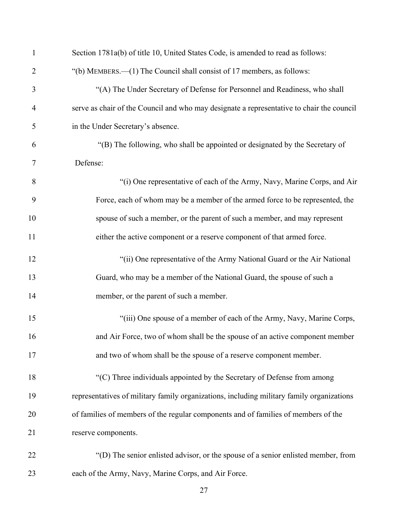| $\mathbf{1}$   | Section 1781a(b) of title 10, United States Code, is amended to read as follows:          |
|----------------|-------------------------------------------------------------------------------------------|
| $\overline{2}$ | "(b) MEMBERS.—(1) The Council shall consist of 17 members, as follows:                    |
| 3              | "(A) The Under Secretary of Defense for Personnel and Readiness, who shall                |
| $\overline{4}$ | serve as chair of the Council and who may designate a representative to chair the council |
| 5              | in the Under Secretary's absence.                                                         |
| 6              | "(B) The following, who shall be appointed or designated by the Secretary of              |
| 7              | Defense:                                                                                  |
| 8              | "(i) One representative of each of the Army, Navy, Marine Corps, and Air                  |
| 9              | Force, each of whom may be a member of the armed force to be represented, the             |
| 10             | spouse of such a member, or the parent of such a member, and may represent                |
| 11             | either the active component or a reserve component of that armed force.                   |
| 12             | "(ii) One representative of the Army National Guard or the Air National                   |
| 13             | Guard, who may be a member of the National Guard, the spouse of such a                    |
| 14             | member, or the parent of such a member.                                                   |
| 15             | "(iii) One spouse of a member of each of the Army, Navy, Marine Corps,                    |
| 16             | and Air Force, two of whom shall be the spouse of an active component member              |
| 17             | and two of whom shall be the spouse of a reserve component member.                        |
| 18             | "(C) Three individuals appointed by the Secretary of Defense from among                   |
| 19             | representatives of military family organizations, including military family organizations |
| 20             | of families of members of the regular components and of families of members of the        |
| 21             | reserve components.                                                                       |
| 22             | "(D) The senior enlisted advisor, or the spouse of a senior enlisted member, from         |
| 23             | each of the Army, Navy, Marine Corps, and Air Force.                                      |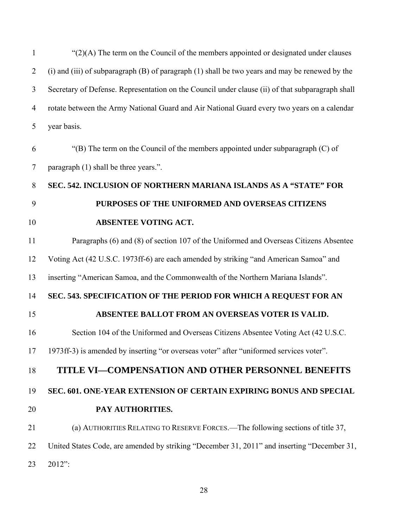1 2 3 4 5 6 7 8 9 10 11 12 13 14 15 16 17 18 19 20 21 22 23  $\mathcal{L}(2)(A)$  The term on the Council of the members appointed or designated under clauses (i) and (iii) of subparagraph (B) of paragraph (1) shall be two years and may be renewed by the Secretary of Defense. Representation on the Council under clause (ii) of that subparagraph shall rotate between the Army National Guard and Air National Guard every two years on a calendar year basis.  $\Gamma(B)$  The term on the Council of the members appointed under subparagraph (C) of paragraph (1) shall be three years.". **SEC. 542. INCLUSION OF NORTHERN MARIANA ISLANDS AS A "STATE" FOR PURPOSES OF THE UNIFORMED AND OVERSEAS CITIZENS ABSENTEE VOTING ACT.**  Paragraphs (6) and (8) of section 107 of the Uniformed and Overseas Citizens Absentee Voting Act (42 U.S.C. 1973ff-6) are each amended by striking "and American Samoa" and inserting "American Samoa, and the Commonwealth of the Northern Mariana Islands". **SEC. 543. SPECIFICATION OF THE PERIOD FOR WHICH A REQUEST FOR AN ABSENTEE BALLOT FROM AN OVERSEAS VOTER IS VALID.**  Section 104 of the Uniformed and Overseas Citizens Absentee Voting Act (42 U.S.C. 1973ff-3) is amended by inserting "or overseas voter" after "uniformed services voter". **TITLE VI—COMPENSATION AND OTHER PERSONNEL BENEFITS SEC. 601. ONE-YEAR EXTENSION OF CERTAIN EXPIRING BONUS AND SPECIAL PAY AUTHORITIES.**  (a) AUTHORITIES RELATING TO RESERVE FORCES.—The following sections of title 37, United States Code, are amended by striking "December 31, 2011" and inserting "December 31, 2012":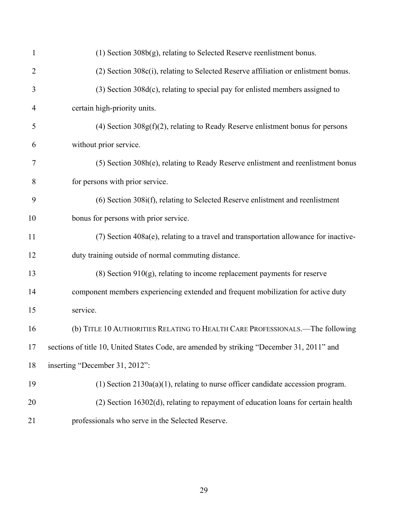| $\mathbf{1}$   | $(1)$ Section 308b $(g)$ , relating to Selected Reserve reenlistment bonus.               |
|----------------|-------------------------------------------------------------------------------------------|
| $\overline{2}$ | (2) Section 308c(i), relating to Selected Reserve affiliation or enlistment bonus.        |
| 3              | $(3)$ Section 308 $d(c)$ , relating to special pay for enlisted members assigned to       |
| 4              | certain high-priority units.                                                              |
| 5              | $(4)$ Section 308 $g(f)(2)$ , relating to Ready Reserve enlistment bonus for persons      |
| 6              | without prior service.                                                                    |
| 7              | (5) Section 308h(e), relating to Ready Reserve enlistment and reenlistment bonus          |
| 8              | for persons with prior service.                                                           |
| 9              | $(6)$ Section 308 $i(f)$ , relating to Selected Reserve enlistment and reenlistment       |
| 10             | bonus for persons with prior service.                                                     |
| 11             | $(7)$ Section 408a(e), relating to a travel and transportation allowance for inactive-    |
| 12             | duty training outside of normal commuting distance.                                       |
| 13             | $(8)$ Section 910 $(g)$ , relating to income replacement payments for reserve             |
| 14             | component members experiencing extended and frequent mobilization for active duty         |
| 15             | service.                                                                                  |
| 16             | (b) TITLE 10 AUTHORITIES RELATING TO HEALTH CARE PROFESSIONALS.-The following             |
| 17             | sections of title 10, United States Code, are amended by striking "December 31, 2011" and |
| 18             | inserting "December 31, 2012":                                                            |
| 19             | $(1)$ Section 2130a(a)(1), relating to nurse officer candidate accession program.         |
| 20             | $(2)$ Section 16302(d), relating to repayment of education loans for certain health       |
| 21             | professionals who serve in the Selected Reserve.                                          |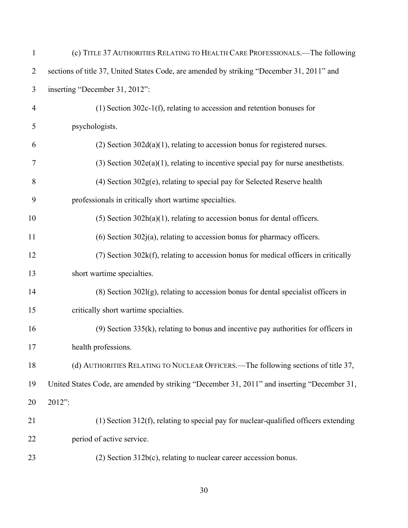| $\mathbf{1}$   | (c) TITLE 37 AUTHORITIES RELATING TO HEALTH CARE PROFESSIONALS.—The following               |
|----------------|---------------------------------------------------------------------------------------------|
| $\overline{2}$ | sections of title 37, United States Code, are amended by striking "December 31, 2011" and   |
| 3              | inserting "December 31, 2012":                                                              |
| $\overline{4}$ | $(1)$ Section 302c-1(f), relating to accession and retention bonuses for                    |
| 5              | psychologists.                                                                              |
| 6              | $(2)$ Section 302 $d(a)(1)$ , relating to accession bonus for registered nurses.            |
| $\tau$         | $(3)$ Section 302e(a)(1), relating to incentive special pay for nurse anesthetists.         |
| 8              | $(4)$ Section 302 $g(e)$ , relating to special pay for Selected Reserve health              |
| 9              | professionals in critically short wartime specialties.                                      |
| 10             | $(5)$ Section 302h $(a)(1)$ , relating to accession bonus for dental officers.              |
| 11             | $(6)$ Section 302 $(i)$ , relating to accession bonus for pharmacy officers.                |
| 12             | $(7)$ Section 302 $k(f)$ , relating to accession bonus for medical officers in critically   |
| 13             | short wartime specialties.                                                                  |
| 14             | $(8)$ Section 302l $(g)$ , relating to accession bonus for dental specialist officers in    |
| 15             | critically short wartime specialties.                                                       |
| 16             | $(9)$ Section 335(k), relating to bonus and incentive pay authorities for officers in       |
| 17             | health professions.                                                                         |
| 18             | (d) AUTHORITIES RELATING TO NUCLEAR OFFICERS.—The following sections of title 37,           |
| 19             | United States Code, are amended by striking "December 31, 2011" and inserting "December 31, |
| 20             | 2012":                                                                                      |
| 21             | $(1)$ Section 312(f), relating to special pay for nuclear-qualified officers extending      |
| 22             | period of active service.                                                                   |
| 23             | $(2)$ Section 312b $(c)$ , relating to nuclear career accession bonus.                      |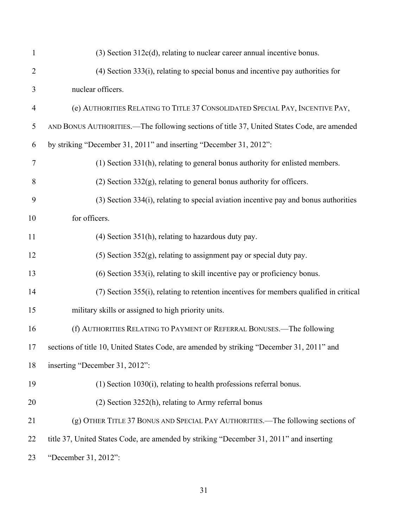| $\mathbf{1}$   | $(3)$ Section 312 $c(d)$ , relating to nuclear career annual incentive bonus.              |
|----------------|--------------------------------------------------------------------------------------------|
| $\overline{2}$ | $(4)$ Section 333 $(i)$ , relating to special bonus and incentive pay authorities for      |
| 3              | nuclear officers.                                                                          |
| $\overline{4}$ | (e) AUTHORITIES RELATING TO TITLE 37 CONSOLIDATED SPECIAL PAY, INCENTIVE PAY,              |
| 5              | AND BONUS AUTHORITIES.—The following sections of title 37, United States Code, are amended |
| 6              | by striking "December 31, 2011" and inserting "December 31, 2012":                         |
| $\tau$         | (1) Section 331(h), relating to general bonus authority for enlisted members.              |
| 8              | $(2)$ Section 332 $(g)$ , relating to general bonus authority for officers.                |
| 9              | $(3)$ Section 334 $(i)$ , relating to special aviation incentive pay and bonus authorities |
| 10             | for officers.                                                                              |
| 11             | $(4)$ Section 351(h), relating to hazardous duty pay.                                      |
| 12             | $(5)$ Section 352 $(g)$ , relating to assignment pay or special duty pay.                  |
| 13             | $(6)$ Section 353 $(i)$ , relating to skill incentive pay or proficiency bonus.            |
| 14             | (7) Section 355(i), relating to retention incentives for members qualified in critical     |
| 15             | military skills or assigned to high priority units.                                        |
| 16             | (f) AUTHORITIES RELATING TO PAYMENT OF REFERRAL BONUSES.—The following                     |
| 17             | sections of title 10, United States Code, are amended by striking "December 31, 2011" and  |
| 18             | inserting "December 31, 2012":                                                             |
| 19             | $(1)$ Section 1030 $(i)$ , relating to health professions referral bonus.                  |
| 20             | $(2)$ Section 3252(h), relating to Army referral bonus                                     |
| 21             | (g) OTHER TITLE 37 BONUS AND SPECIAL PAY AUTHORITIES.—The following sections of            |
| 22             | title 37, United States Code, are amended by striking "December 31, 2011" and inserting    |
| 23             | "December 31, 2012":                                                                       |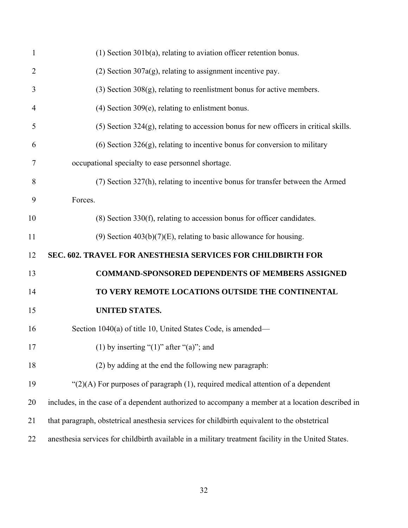| $\mathbf{1}$   | $(1)$ Section 301b(a), relating to aviation officer retention bonus.                             |
|----------------|--------------------------------------------------------------------------------------------------|
| $\overline{2}$ | $(2)$ Section 307a(g), relating to assignment incentive pay.                                     |
| 3              | $(3)$ Section 308 $(g)$ , relating to reenlistment bonus for active members.                     |
| 4              | $(4)$ Section 309 $(e)$ , relating to enlistment bonus.                                          |
| 5              | $(5)$ Section 324 $(g)$ , relating to accession bonus for new officers in critical skills.       |
| 6              | $(6)$ Section 326 $(g)$ , relating to incentive bonus for conversion to military                 |
| 7              | occupational specialty to ease personnel shortage.                                               |
| 8              | (7) Section 327(h), relating to incentive bonus for transfer between the Armed                   |
| 9              | Forces.                                                                                          |
| 10             | $(8)$ Section 330(f), relating to accession bonus for officer candidates.                        |
| 11             | (9) Section $403(b)(7)(E)$ , relating to basic allowance for housing.                            |
| 12             | SEC. 602. TRAVEL FOR ANESTHESIA SERVICES FOR CHILDBIRTH FOR                                      |
| 13             | <b>COMMAND-SPONSORED DEPENDENTS OF MEMBERS ASSIGNED</b>                                          |
| 14             | TO VERY REMOTE LOCATIONS OUTSIDE THE CONTINENTAL                                                 |
| 15             | <b>UNITED STATES.</b>                                                                            |
| 16             |                                                                                                  |
|                | Section 1040(a) of title 10, United States Code, is amended—                                     |
| 17             | (1) by inserting " $(1)$ " after " $(a)$ "; and                                                  |
| 18             | (2) by adding at the end the following new paragraph:                                            |
| 19             | " $(2)(A)$ For purposes of paragraph $(1)$ , required medical attention of a dependent           |
| 20             | includes, in the case of a dependent authorized to accompany a member at a location described in |
| 21             | that paragraph, obstetrical anesthesia services for childbirth equivalent to the obstetrical     |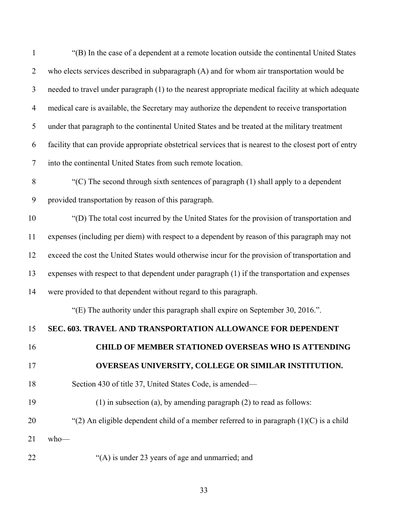1 2 3 4 5 6 7 "(B) In the case of a dependent at a remote location outside the continental United States who elects services described in subparagraph (A) and for whom air transportation would be needed to travel under paragraph (1) to the nearest appropriate medical facility at which adequate medical care is available, the Secretary may authorize the dependent to receive transportation under that paragraph to the continental United States and be treated at the military treatment facility that can provide appropriate obstetrical services that is nearest to the closest port of entry into the continental United States from such remote location.

8 9  $C(C)$  The second through sixth sentences of paragraph  $(1)$  shall apply to a dependent provided transportation by reason of this paragraph.

10 11 12 13 14 "(D) The total cost incurred by the United States for the provision of transportation and expenses (including per diem) with respect to a dependent by reason of this paragraph may not exceed the cost the United States would otherwise incur for the provision of transportation and expenses with respect to that dependent under paragraph (1) if the transportation and expenses were provided to that dependent without regard to this paragraph.

"(E) The authority under this paragraph shall expire on September 30, 2016.".

#### 15 **SEC. 603. TRAVEL AND TRANSPORTATION ALLOWANCE FOR DEPENDENT**

16

17

# **CHILD OF MEMBER STATIONED OVERSEAS WHO IS ATTENDING OVERSEAS UNIVERSITY, COLLEGE OR SIMILAR INSTITUTION.**

18 Section 430 of title 37, United States Code, is amended—

19 (1) in subsection (a), by amending paragraph (2) to read as follows:

20 "(2) An eligible dependent child of a member referred to in paragraph  $(1)(C)$  is a child

21 who—

22 "(A) is under 23 years of age and unmarried; and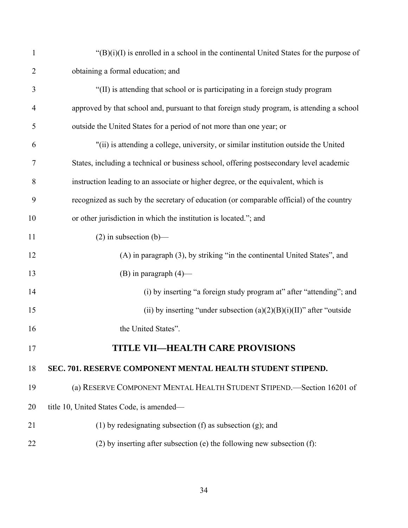| $\mathbf{1}$   | $\mathcal{L}(B)(i)(I)$ is enrolled in a school in the continental United States for the purpose of |
|----------------|----------------------------------------------------------------------------------------------------|
| $\overline{2}$ | obtaining a formal education; and                                                                  |
| 3              | "(II) is attending that school or is participating in a foreign study program                      |
| 4              | approved by that school and, pursuant to that foreign study program, is attending a school         |
| 5              | outside the United States for a period of not more than one year; or                               |
| 6              | "(ii) is attending a college, university, or similar institution outside the United                |
| 7              | States, including a technical or business school, offering postsecondary level academic            |
| 8              | instruction leading to an associate or higher degree, or the equivalent, which is                  |
| 9              | recognized as such by the secretary of education (or comparable official) of the country           |
| 10             | or other jurisdiction in which the institution is located."; and                                   |
| 11             | $(2)$ in subsection $(b)$ —                                                                        |
| 12             | (A) in paragraph (3), by striking "in the continental United States", and                          |
| 13             | (B) in paragraph $(4)$ —                                                                           |
| 14             | (i) by inserting "a foreign study program at" after "attending"; and                               |
| 15             | (ii) by inserting "under subsection $(a)(2)(B)(i)(II)$ " after "outside                            |
| 16             | the United States".                                                                                |
| 17             | TITLE VII—HEALTH CARE PROVISIONS                                                                   |
| 18             | SEC. 701. RESERVE COMPONENT MENTAL HEALTH STUDENT STIPEND.                                         |
| 19             | (a) RESERVE COMPONENT MENTAL HEALTH STUDENT STIPEND. Section 16201 of                              |
| 20             | title 10, United States Code, is amended-                                                          |
| 21             | $(1)$ by redesignating subsection $(f)$ as subsection $(g)$ ; and                                  |
| 22             | $(2)$ by inserting after subsection (e) the following new subsection (f):                          |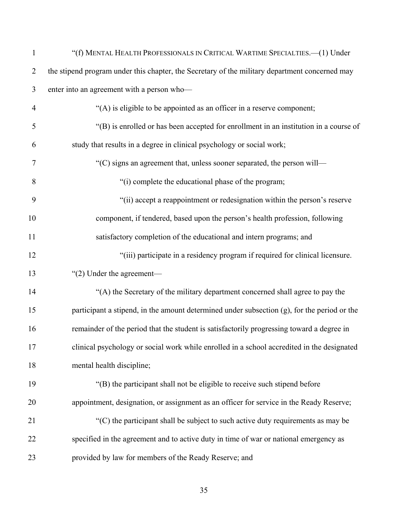| $\mathbf{1}$   | "(f) MENTAL HEALTH PROFESSIONALS IN CRITICAL WARTIME SPECIALTIES.-- (1) Under                  |
|----------------|------------------------------------------------------------------------------------------------|
| $\overline{2}$ | the stipend program under this chapter, the Secretary of the military department concerned may |
| 3              | enter into an agreement with a person who-                                                     |
| $\overline{4}$ | "(A) is eligible to be appointed as an officer in a reserve component;                         |
| 5              | "(B) is enrolled or has been accepted for enrollment in an institution in a course of          |
| 6              | study that results in a degree in clinical psychology or social work;                          |
| 7              | "(C) signs an agreement that, unless sooner separated, the person will—                        |
| 8              | "(i) complete the educational phase of the program;                                            |
| 9              | "(ii) accept a reappointment or redesignation within the person's reserve                      |
| 10             | component, if tendered, based upon the person's health profession, following                   |
| 11             | satisfactory completion of the educational and intern programs; and                            |
| 12             | "(iii) participate in a residency program if required for clinical licensure.                  |
| 13             | " $(2)$ Under the agreement-                                                                   |
| 14             | "(A) the Secretary of the military department concerned shall agree to pay the                 |
| 15             | participant a stipend, in the amount determined under subsection (g), for the period or the    |
| 16             | remainder of the period that the student is satisfactorily progressing toward a degree in      |
| 17             | clinical psychology or social work while enrolled in a school accredited in the designated     |
| 18             | mental health discipline;                                                                      |
| 19             | "(B) the participant shall not be eligible to receive such stipend before                      |
| 20             | appointment, designation, or assignment as an officer for service in the Ready Reserve;        |
| 21             | $C$ ) the participant shall be subject to such active duty requirements as may be              |
| 22             | specified in the agreement and to active duty in time of war or national emergency as          |
| 23             | provided by law for members of the Ready Reserve; and                                          |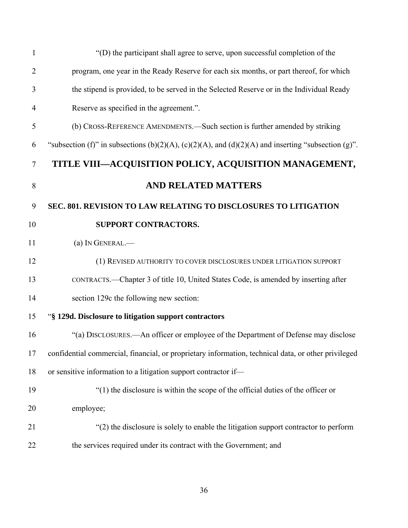| $\mathbf{1}$   | "(D) the participant shall agree to serve, upon successful completion of the                        |
|----------------|-----------------------------------------------------------------------------------------------------|
| $\overline{2}$ | program, one year in the Ready Reserve for each six months, or part thereof, for which              |
| 3              | the stipend is provided, to be served in the Selected Reserve or in the Individual Ready            |
| 4              | Reserve as specified in the agreement.".                                                            |
| 5              | (b) CROSS-REFERENCE AMENDMENTS.—Such section is further amended by striking                         |
| 6              | "subsection (f)" in subsections (b)(2)(A), (c)(2)(A), and (d)(2)(A) and inserting "subsection (g)". |
| $\tau$         | TITLE VIII-ACQUISITION POLICY, ACQUISITION MANAGEMENT,                                              |
| 8              | <b>AND RELATED MATTERS</b>                                                                          |
| 9              | SEC. 801. REVISION TO LAW RELATING TO DISCLOSURES TO LITIGATION                                     |
| 10             | SUPPORT CONTRACTORS.                                                                                |
| 11             | (a) IN GENERAL.-                                                                                    |
| 12             | (1) REVISED AUTHORITY TO COVER DISCLOSURES UNDER LITIGATION SUPPORT                                 |
| 13             | CONTRACTS.—Chapter 3 of title 10, United States Code, is amended by inserting after                 |
| 14             | section 129c the following new section:                                                             |
| 15             | "§ 129d. Disclosure to litigation support contractors                                               |
| 16             | "(a) DISCLOSURES.—An officer or employee of the Department of Defense may disclose                  |
| 17             | confidential commercial, financial, or proprietary information, technical data, or other privileged |
| 18             | or sensitive information to a litigation support contractor if-                                     |
| 19             | $\degree$ (1) the disclosure is within the scope of the official duties of the officer or           |
| 20             | employee;                                                                                           |
| 21             | "(2) the disclosure is solely to enable the litigation support contractor to perform                |
| 22             | the services required under its contract with the Government; and                                   |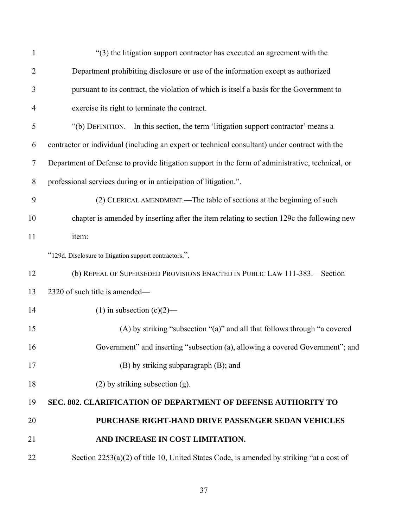| 1              | "(3) the litigation support contractor has executed an agreement with the                        |
|----------------|--------------------------------------------------------------------------------------------------|
| $\overline{2}$ | Department prohibiting disclosure or use of the information except as authorized                 |
| 3              | pursuant to its contract, the violation of which is itself a basis for the Government to         |
| $\overline{4}$ | exercise its right to terminate the contract.                                                    |
| 5              | "(b) DEFINITION.—In this section, the term 'litigation support contractor' means a               |
| 6              | contractor or individual (including an expert or technical consultant) under contract with the   |
| $\overline{7}$ | Department of Defense to provide litigation support in the form of administrative, technical, or |
| 8              | professional services during or in anticipation of litigation.".                                 |
| 9              | (2) CLERICAL AMENDMENT.—The table of sections at the beginning of such                           |
| 10             | chapter is amended by inserting after the item relating to section 129c the following new        |
| 11             | item:                                                                                            |
|                | "129d. Disclosure to litigation support contractors.".                                           |
| 12             | (b) REPEAL OF SUPERSEDED PROVISIONS ENACTED IN PUBLIC LAW 111-383.-Section                       |
| 13             | 2320 of such title is amended—                                                                   |
| 14             | (1) in subsection $(c)(2)$ —                                                                     |
| 15             | (A) by striking "subsection "(a)" and all that follows through "a covered                        |
| 16             | Government" and inserting "subsection (a), allowing a covered Government"; and                   |
| 17             | (B) by striking subparagraph (B); and                                                            |
| 18             | $(2)$ by striking subsection $(g)$ .                                                             |
| 19             | SEC. 802. CLARIFICATION OF DEPARTMENT OF DEFENSE AUTHORITY TO                                    |
| 20             | PURCHASE RIGHT-HAND DRIVE PASSENGER SEDAN VEHICLES                                               |
| 21             | AND INCREASE IN COST LIMITATION.                                                                 |
| 22             | Section 2253(a)(2) of title 10, United States Code, is amended by striking "at a cost of         |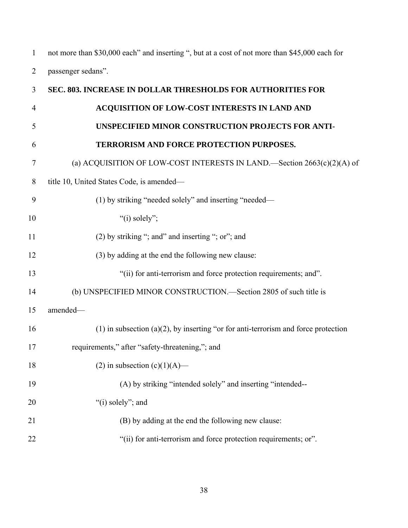1 2 not more than \$30,000 each" and inserting ", but at a cost of not more than \$45,000 each for passenger sedans".

| 3              | SEC. 803. INCREASE IN DOLLAR THRESHOLDS FOR AUTHORITIES FOR                          |
|----------------|--------------------------------------------------------------------------------------|
| $\overline{4}$ | ACQUISITION OF LOW-COST INTERESTS IN LAND AND                                        |
| 5              | UNSPECIFIED MINOR CONSTRUCTION PROJECTS FOR ANTI-                                    |
| 6              | TERRORISM AND FORCE PROTECTION PURPOSES.                                             |
| $\overline{7}$ | (a) ACQUISITION OF LOW-COST INTERESTS IN LAND.—Section 2663(c)(2)(A) of              |
| 8              | title 10, United States Code, is amended-                                            |
| 9              | (1) by striking "needed solely" and inserting "needed—                               |
| 10             | "(i) solely";                                                                        |
| 11             | (2) by striking "; and" and inserting "; or"; and                                    |
| 12             | (3) by adding at the end the following new clause:                                   |
| 13             | "(ii) for anti-terrorism and force protection requirements; and".                    |
| 14             | (b) UNSPECIFIED MINOR CONSTRUCTION.—Section 2805 of such title is                    |
| 15             | amended-                                                                             |
| 16             | $(1)$ in subsection (a)(2), by inserting "or for anti-terrorism and force protection |
| 17             | requirements," after "safety-threatening,"; and                                      |
| 18             | (2) in subsection $(c)(1)(A)$ —                                                      |
| 19             | (A) by striking "intended solely" and inserting "intended--                          |
| 20             | "(i) solely"; and                                                                    |
| 21             | (B) by adding at the end the following new clause:                                   |
| 22             | "(ii) for anti-terrorism and force protection requirements; or".                     |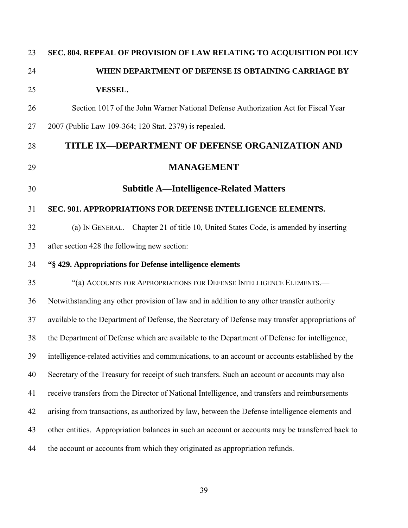| 23 | SEC. 804. REPEAL OF PROVISION OF LAW RELATING TO ACQUISITION POLICY                              |
|----|--------------------------------------------------------------------------------------------------|
| 24 | WHEN DEPARTMENT OF DEFENSE IS OBTAINING CARRIAGE BY                                              |
| 25 | <b>VESSEL.</b>                                                                                   |
| 26 | Section 1017 of the John Warner National Defense Authorization Act for Fiscal Year               |
| 27 | 2007 (Public Law 109-364; 120 Stat. 2379) is repealed.                                           |
| 28 | TITLE IX-DEPARTMENT OF DEFENSE ORGANIZATION AND                                                  |
| 29 | <b>MANAGEMENT</b>                                                                                |
| 30 | <b>Subtitle A—Intelligence-Related Matters</b>                                                   |
| 31 | SEC. 901. APPROPRIATIONS FOR DEFENSE INTELLIGENCE ELEMENTS.                                      |
| 32 | (a) IN GENERAL.—Chapter 21 of title 10, United States Code, is amended by inserting              |
| 33 | after section 428 the following new section:                                                     |
| 34 | "§429. Appropriations for Defense intelligence elements                                          |
| 35 | "(a) ACCOUNTS FOR APPROPRIATIONS FOR DEFENSE INTELLIGENCE ELEMENTS.-                             |
| 36 | Notwithstanding any other provision of law and in addition to any other transfer authority       |
| 37 | available to the Department of Defense, the Secretary of Defense may transfer appropriations of  |
| 38 | the Department of Defense which are available to the Department of Defense for intelligence,     |
| 39 | intelligence-related activities and communications, to an account or accounts established by the |
| 40 | Secretary of the Treasury for receipt of such transfers. Such an account or accounts may also    |
| 41 | receive transfers from the Director of National Intelligence, and transfers and reimbursements   |
| 42 | arising from transactions, as authorized by law, between the Defense intelligence elements and   |
| 43 | other entities. Appropriation balances in such an account or accounts may be transferred back to |
| 44 | the account or accounts from which they originated as appropriation refunds.                     |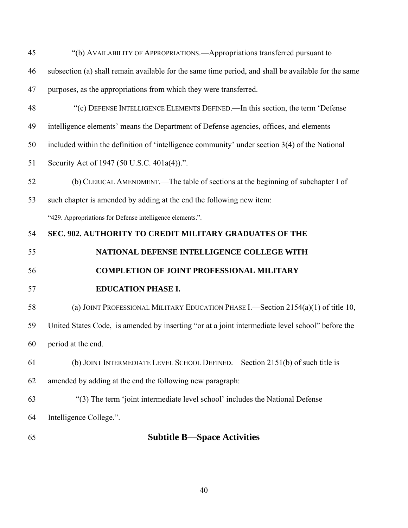- 45 46 47 48 49 50 51 52 53 54 55 56 57 58 59 60 61 62 63 64 "(b) AVAILABILITY OF APPROPRIATIONS.—Appropriations transferred pursuant to subsection (a) shall remain available for the same time period, and shall be available for the same purposes, as the appropriations from which they were transferred. "(c) DEFENSE INTELLIGENCE ELEMENTS DEFINED.—In this section, the term 'Defense intelligence elements' means the Department of Defense agencies, offices, and elements included within the definition of 'intelligence community' under section 3(4) of the National Security Act of 1947 (50 U.S.C. 401a(4)).". (b) CLERICAL AMENDMENT.—The table of sections at the beginning of subchapter I of such chapter is amended by adding at the end the following new item: "429. Appropriations for Defense intelligence elements.". **SEC. 902. AUTHORITY TO CREDIT MILITARY GRADUATES OF THE NATIONAL DEFENSE INTELLIGENCE COLLEGE WITH COMPLETION OF JOINT PROFESSIONAL MILITARY EDUCATION PHASE I.**  (a) JOINT PROFESSIONAL MILITARY EDUCATION PHASE I.—Section 2154(a)(1) of title 10, United States Code, is amended by inserting "or at a joint intermediate level school" before the period at the end. (b) JOINT INTERMEDIATE LEVEL SCHOOL DEFINED.—Section 2151(b) of such title is amended by adding at the end the following new paragraph: "(3) The term 'joint intermediate level school' includes the National Defense Intelligence College.".
- 65

# **Subtitle B—Space Activities**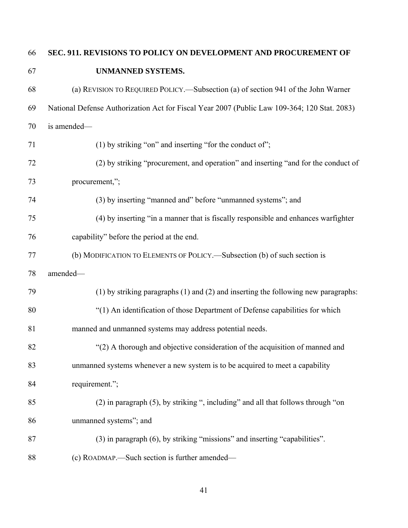#### **SEC. 911. REVISIONS TO POLICY ON DEVELOPMENT AND PROCUREMENT OF**  66

67

## **UNMANNED SYSTEMS.**

| 68 | (a) REVISION TO REQUIRED POLICY.—Subsection (a) of section 941 of the John Warner            |
|----|----------------------------------------------------------------------------------------------|
| 69 | National Defense Authorization Act for Fiscal Year 2007 (Public Law 109-364; 120 Stat. 2083) |
| 70 | is amended-                                                                                  |
| 71 | $(1)$ by striking "on" and inserting "for the conduct of";                                   |
| 72 | (2) by striking "procurement, and operation" and inserting "and for the conduct of           |
| 73 | procurement,";                                                                               |
| 74 | (3) by inserting "manned and" before "unmanned systems"; and                                 |
| 75 | (4) by inserting "in a manner that is fiscally responsible and enhances warfighter           |
| 76 | capability" before the period at the end.                                                    |
| 77 | (b) MODIFICATION TO ELEMENTS OF POLICY.—Subsection (b) of such section is                    |
| 78 | amended-                                                                                     |
| 79 | $(1)$ by striking paragraphs $(1)$ and $(2)$ and inserting the following new paragraphs:     |
| 80 | "(1) An identification of those Department of Defense capabilities for which                 |
| 81 | manned and unmanned systems may address potential needs.                                     |
| 82 | "(2) A thorough and objective consideration of the acquisition of manned and                 |
| 83 | unmanned systems whenever a new system is to be acquired to meet a capability                |
| 84 | requirement.";                                                                               |
| 85 | (2) in paragraph (5), by striking ", including" and all that follows through "on             |
| 86 | unmanned systems"; and                                                                       |
| 87 | (3) in paragraph (6), by striking "missions" and inserting "capabilities".                   |
| 88 | (c) ROADMAP.—Such section is further amended—                                                |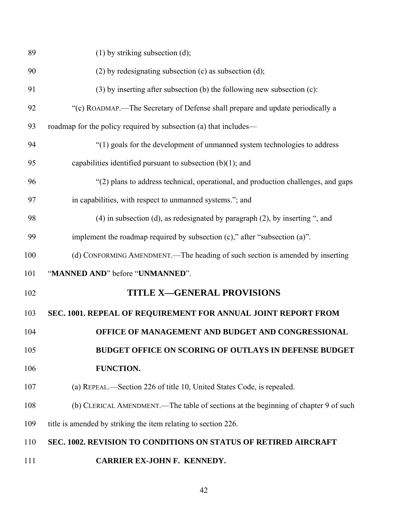| 89  | $(1)$ by striking subsection $(d)$ ;                                                |
|-----|-------------------------------------------------------------------------------------|
| 90  | $(2)$ by redesignating subsection $(c)$ as subsection $(d)$ ;                       |
| 91  | $(3)$ by inserting after subsection (b) the following new subsection (c):           |
| 92  | "(c) ROADMAP.—The Secretary of Defense shall prepare and update periodically a      |
| 93  | roadmap for the policy required by subsection (a) that includes—                    |
| 94  | "(1) goals for the development of unmanned system technologies to address           |
| 95  | capabilities identified pursuant to subsection $(b)(1)$ ; and                       |
| 96  | "(2) plans to address technical, operational, and production challenges, and gaps   |
| 97  | in capabilities, with respect to unmanned systems."; and                            |
| 98  | $(4)$ in subsection (d), as redesignated by paragraph $(2)$ , by inserting ", and   |
| 99  | implement the roadmap required by subsection $(c)$ ," after "subsection $(a)$ ".    |
| 100 | (d) CONFORMING AMENDMENT.—The heading of such section is amended by inserting       |
| 101 | "MANNED AND" before "UNMANNED".                                                     |
| 102 | <b>TITLE X-GENERAL PROVISIONS</b>                                                   |
| 103 | SEC. 1001. REPEAL OF REQUIREMENT FOR ANNUAL JOINT REPORT FROM                       |
| 104 | OFFICE OF MANAGEMENT AND BUDGET AND CONGRESSIONAL                                   |
| 105 | BUDGET OFFICE ON SCORING OF OUTLAYS IN DEFENSE BUDGET                               |
| 106 | FUNCTION.                                                                           |
| 107 | (a) REPEAL.—Section 226 of title 10, United States Code, is repealed.               |
| 108 | (b) CLERICAL AMENDMENT.—The table of sections at the beginning of chapter 9 of such |
| 109 | title is amended by striking the item relating to section 226.                      |
| 110 | SEC. 1002. REVISION TO CONDITIONS ON STATUS OF RETIRED AIRCRAFT                     |
| 111 | CARRIER EX-JOHN F. KENNEDY.                                                         |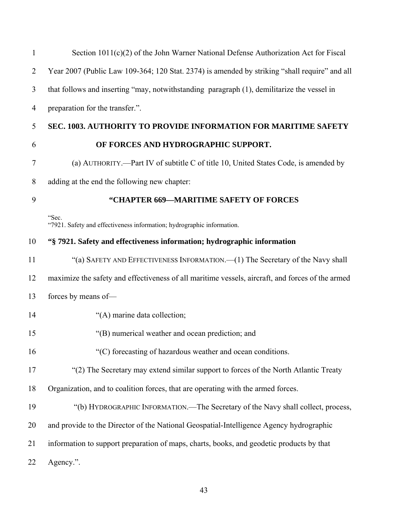| $\mathbf{1}$   | Section 1011(c)(2) of the John Warner National Defense Authorization Act for Fiscal              |
|----------------|--------------------------------------------------------------------------------------------------|
| $\overline{2}$ | Year 2007 (Public Law 109-364; 120 Stat. 2374) is amended by striking "shall require" and all    |
| 3              | that follows and inserting "may, notwithstanding paragraph (1), demilitarize the vessel in       |
| $\overline{4}$ | preparation for the transfer.".                                                                  |
| 5              | <b>SEC. 1003. AUTHORITY TO PROVIDE INFORMATION FOR MARITIME SAFETY</b>                           |
| 6              | OF FORCES AND HYDROGRAPHIC SUPPORT.                                                              |
| 7              | (a) AUTHORITY.—Part IV of subtitle C of title 10, United States Code, is amended by              |
| $8\,$          | adding at the end the following new chapter:                                                     |
| 9              | "CHAPTER 669-MARITIME SAFETY OF FORCES                                                           |
|                | "Sec.<br>"7921. Safety and effectiveness information; hydrographic information.                  |
| 10             | "§ 7921. Safety and effectiveness information; hydrographic information                          |
| 11             | "(a) SAFETY AND EFFECTIVENESS INFORMATION.—(1) The Secretary of the Navy shall                   |
| 12             | maximize the safety and effectiveness of all maritime vessels, aircraft, and forces of the armed |
| 13             | forces by means of-                                                                              |
| 14             | "(A) marine data collection;                                                                     |
| 15             | "(B) numerical weather and ocean prediction; and                                                 |
| 16             | "(C) forecasting of hazardous weather and ocean conditions.                                      |
| 17             | "(2) The Secretary may extend similar support to forces of the North Atlantic Treaty             |
| 18             | Organization, and to coalition forces, that are operating with the armed forces.                 |
| 19             | "(b) HYDROGRAPHIC INFORMATION.—The Secretary of the Navy shall collect, process,                 |
| 20             | and provide to the Director of the National Geospatial-Intelligence Agency hydrographic          |
| 21             | information to support preparation of maps, charts, books, and geodetic products by that         |
| 22             | Agency.".                                                                                        |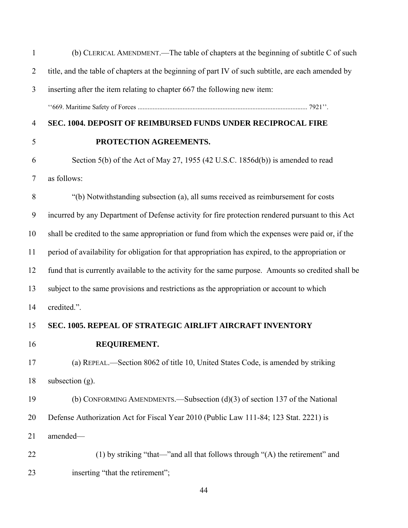| $\mathbf{1}$   | (b) CLERICAL AMENDMENT.—The table of chapters at the beginning of subtitle C of such                |
|----------------|-----------------------------------------------------------------------------------------------------|
| $\overline{2}$ | title, and the table of chapters at the beginning of part IV of such subtitle, are each amended by  |
| 3              | inserting after the item relating to chapter 667 the following new item:                            |
|                |                                                                                                     |
| $\overline{4}$ | SEC. 1004. DEPOSIT OF REIMBURSED FUNDS UNDER RECIPROCAL FIRE                                        |
| 5              | PROTECTION AGREEMENTS.                                                                              |
| 6              | Section 5(b) of the Act of May 27, 1955 (42 U.S.C. 1856d(b)) is amended to read                     |
| 7              | as follows:                                                                                         |
| 8              | "(b) Notwithstanding subsection (a), all sums received as reimbursement for costs                   |
| 9              | incurred by any Department of Defense activity for fire protection rendered pursuant to this Act    |
| 10             | shall be credited to the same appropriation or fund from which the expenses were paid or, if the    |
| 11             | period of availability for obligation for that appropriation has expired, to the appropriation or   |
| 12             | fund that is currently available to the activity for the same purpose. Amounts so credited shall be |
| 13             | subject to the same provisions and restrictions as the appropriation or account to which            |
| 14             | credited.".                                                                                         |
| 15             | <b>SEC. 1005. REPEAL OF STRATEGIC AIRLIFT AIRCRAFT INVENTORY</b>                                    |
| 16             | REQUIREMENT.                                                                                        |
| 17             | (a) REPEAL.—Section 8062 of title 10, United States Code, is amended by striking                    |
| 18             | subsection $(g)$ .                                                                                  |
| 19             | (b) CONFORMING AMENDMENTS.—Subsection $(d)(3)$ of section 137 of the National                       |
| 20             | Defense Authorization Act for Fiscal Year 2010 (Public Law 111-84; 123 Stat. 2221) is               |
| 21             | amended-                                                                                            |
| 22             | (1) by striking "that—"and all that follows through "(A) the retirement" and                        |
| 23             | inserting "that the retirement";                                                                    |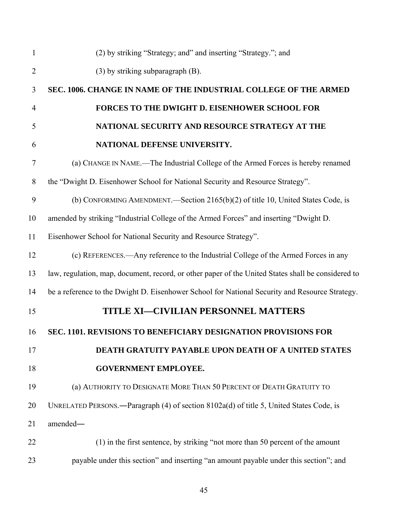| $\mathbf{1}$   | (2) by striking "Strategy; and" and inserting "Strategy."; and                                     |
|----------------|----------------------------------------------------------------------------------------------------|
| $\overline{2}$ | (3) by striking subparagraph (B).                                                                  |
| 3              | SEC. 1006. CHANGE IN NAME OF THE INDUSTRIAL COLLEGE OF THE ARMED                                   |
| $\overline{4}$ | FORCES TO THE DWIGHT D. EISENHOWER SCHOOL FOR                                                      |
| 5              | NATIONAL SECURITY AND RESOURCE STRATEGY AT THE                                                     |
| 6              | NATIONAL DEFENSE UNIVERSITY.                                                                       |
| $\overline{7}$ | (a) CHANGE IN NAME.—The Industrial College of the Armed Forces is hereby renamed                   |
| 8              | the "Dwight D. Eisenhower School for National Security and Resource Strategy".                     |
| 9              | (b) CONFORMING AMENDMENT.—Section 2165(b)(2) of title 10, United States Code, is                   |
| 10             | amended by striking "Industrial College of the Armed Forces" and inserting "Dwight D.              |
| 11             | Eisenhower School for National Security and Resource Strategy".                                    |
| 12             | (c) REFERENCES.—Any reference to the Industrial College of the Armed Forces in any                 |
| 13             | law, regulation, map, document, record, or other paper of the United States shall be considered to |
| 14             | be a reference to the Dwight D. Eisenhower School for National Security and Resource Strategy.     |
| 15             | TITLE XI-CIVILIAN PERSONNEL MATTERS                                                                |
| 16             | <b>SEC. 1101. REVISIONS TO BENEFICIARY DESIGNATION PROVISIONS FOR</b>                              |
| 17             | <b>DEATH GRATUITY PAYABLE UPON DEATH OF A UNITED STATES</b>                                        |
| 18             | <b>GOVERNMENT EMPLOYEE.</b>                                                                        |
| 19             | (a) AUTHORITY TO DESIGNATE MORE THAN 50 PERCENT OF DEATH GRATUITY TO                               |
| 20             | UNRELATED PERSONS.—Paragraph (4) of section 8102a(d) of title 5, United States Code, is            |
| 21             | amended-                                                                                           |
| 22             | (1) in the first sentence, by striking "not more than 50 percent of the amount                     |
| 23             | payable under this section" and inserting "an amount payable under this section"; and              |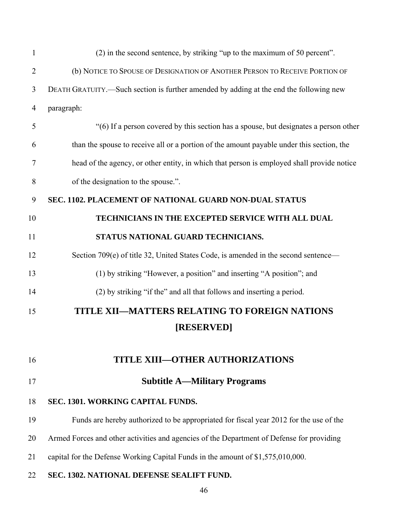| $\mathbf{1}$   | (2) in the second sentence, by striking "up to the maximum of 50 percent".                 |
|----------------|--------------------------------------------------------------------------------------------|
| $\overline{2}$ | (b) NOTICE TO SPOUSE OF DESIGNATION OF ANOTHER PERSON TO RECEIVE PORTION OF                |
| 3              | DEATH GRATUITY.—Such section is further amended by adding at the end the following new     |
| 4              | paragraph:                                                                                 |
| 5              | "(6) If a person covered by this section has a spouse, but designates a person other       |
| 6              | than the spouse to receive all or a portion of the amount payable under this section, the  |
| 7              | head of the agency, or other entity, in which that person is employed shall provide notice |
| 8              | of the designation to the spouse.".                                                        |
| 9              | SEC. 1102. PLACEMENT OF NATIONAL GUARD NON-DUAL STATUS                                     |
| 10             | TECHNICIANS IN THE EXCEPTED SERVICE WITH ALL DUAL                                          |
| 11             | STATUS NATIONAL GUARD TECHNICIANS.                                                         |
| 12             | Section 709(e) of title 32, United States Code, is amended in the second sentence—         |
| 13             | (1) by striking "However, a position" and inserting "A position"; and                      |
| 14             | (2) by striking "if the" and all that follows and inserting a period.                      |
| 15             | TITLE XII-MATTERS RELATING TO FOREIGN NATIONS                                              |
|                | [RESERVED]                                                                                 |
|                |                                                                                            |
| 16             | <b>TITLE XIII-OTHER AUTHORIZATIONS</b>                                                     |
| 17             | <b>Subtitle A-Military Programs</b>                                                        |
| 18             | SEC. 1301. WORKING CAPITAL FUNDS.                                                          |
| 19             | Funds are hereby authorized to be appropriated for fiscal year 2012 for the use of the     |
| 20             | Armed Forces and other activities and agencies of the Department of Defense for providing  |
| 21             | capital for the Defense Working Capital Funds in the amount of \$1,575,010,000.            |
| 22             | SEC. 1302. NATIONAL DEFENSE SEALIFT FUND.                                                  |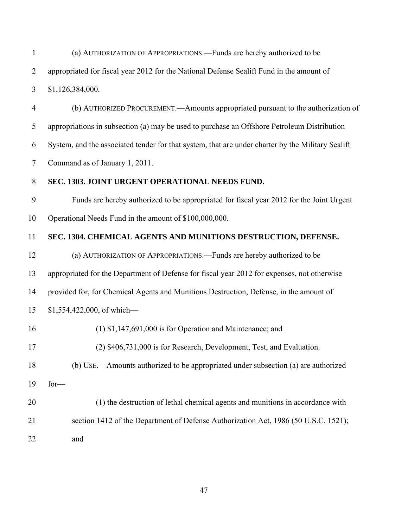1 2 3 (a) AUTHORIZATION OF APPROPRIATIONS.—Funds are hereby authorized to be appropriated for fiscal year 2012 for the National Defense Sealift Fund in the amount of \$1,126,384,000.

4 5 6 7 (b) AUTHORIZED PROCUREMENT.—Amounts appropriated pursuant to the authorization of appropriations in subsection (a) may be used to purchase an Offshore Petroleum Distribution System, and the associated tender for that system, that are under charter by the Military Sealift Command as of January 1, 2011.

#### 8 **SEC. 1303. JOINT URGENT OPERATIONAL NEEDS FUND.**

9 10 Funds are hereby authorized to be appropriated for fiscal year 2012 for the Joint Urgent Operational Needs Fund in the amount of \$100,000,000.

#### 11 **SEC. 1304. CHEMICAL AGENTS AND MUNITIONS DESTRUCTION, DEFENSE.**

12 13 14 15 16 17 18 19 20 21 22 (a) AUTHORIZATION OF APPROPRIATIONS.—Funds are hereby authorized to be appropriated for the Department of Defense for fiscal year 2012 for expenses, not otherwise provided for, for Chemical Agents and Munitions Destruction, Defense, in the amount of \$1,554,422,000, of which— (1) \$1,147,691,000 is for Operation and Maintenance; and (2) \$406,731,000 is for Research, Development, Test, and Evaluation. (b) USE.—Amounts authorized to be appropriated under subsection (a) are authorized for— (1) the destruction of lethal chemical agents and munitions in accordance with section 1412 of the Department of Defense Authorization Act, 1986 (50 U.S.C. 1521); and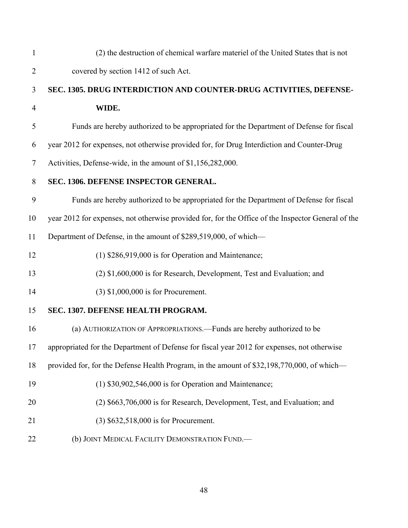| $\mathbf{1}$   | (2) the destruction of chemical warfare materiel of the United States that is not                  |
|----------------|----------------------------------------------------------------------------------------------------|
| $\overline{2}$ | covered by section 1412 of such Act.                                                               |
| 3              | SEC. 1305. DRUG INTERDICTION AND COUNTER-DRUG ACTIVITIES, DEFENSE-                                 |
| $\overline{4}$ | WIDE.                                                                                              |
| 5              | Funds are hereby authorized to be appropriated for the Department of Defense for fiscal            |
| 6              | year 2012 for expenses, not otherwise provided for, for Drug Interdiction and Counter-Drug         |
| $\tau$         | Activities, Defense-wide, in the amount of \$1,156,282,000.                                        |
| 8              | SEC. 1306. DEFENSE INSPECTOR GENERAL.                                                              |
| 9              | Funds are hereby authorized to be appropriated for the Department of Defense for fiscal            |
| 10             | year 2012 for expenses, not otherwise provided for, for the Office of the Inspector General of the |
| 11             | Department of Defense, in the amount of \$289,519,000, of which—                                   |
| 12             | $(1)$ \$286,919,000 is for Operation and Maintenance;                                              |
| 13             | (2) \$1,600,000 is for Research, Development, Test and Evaluation; and                             |
| 14             | $(3)$ \$1,000,000 is for Procurement.                                                              |
| 15             | SEC. 1307. DEFENSE HEALTH PROGRAM.                                                                 |
| 16             | (a) AUTHORIZATION OF APPROPRIATIONS.—Funds are hereby authorized to be                             |
| 17             | appropriated for the Department of Defense for fiscal year 2012 for expenses, not otherwise        |
| 18             | provided for, for the Defense Health Program, in the amount of \$32,198,770,000, of which—         |
| 19             | $(1)$ \$30,902,546,000 is for Operation and Maintenance;                                           |
| 20             | (2) \$663,706,000 is for Research, Development, Test, and Evaluation; and                          |
| 21             | (3) \$632,518,000 is for Procurement.                                                              |
| 22             | (b) JOINT MEDICAL FACILITY DEMONSTRATION FUND.                                                     |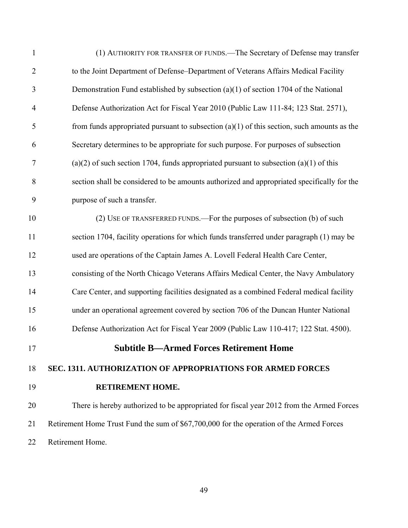| $\mathbf{1}$   | (1) AUTHORITY FOR TRANSFER OF FUNDS.—The Secretary of Defense may transfer                   |
|----------------|----------------------------------------------------------------------------------------------|
| $\overline{2}$ | to the Joint Department of Defense-Department of Veterans Affairs Medical Facility           |
| 3              | Demonstration Fund established by subsection $(a)(1)$ of section 1704 of the National        |
| $\overline{4}$ | Defense Authorization Act for Fiscal Year 2010 (Public Law 111-84; 123 Stat. 2571),          |
| 5              | from funds appropriated pursuant to subsection $(a)(1)$ of this section, such amounts as the |
| 6              | Secretary determines to be appropriate for such purpose. For purposes of subsection          |
| $\tau$         | $(a)(2)$ of such section 1704, funds appropriated pursuant to subsection $(a)(1)$ of this    |
| 8              | section shall be considered to be amounts authorized and appropriated specifically for the   |
| 9              | purpose of such a transfer.                                                                  |
| 10             | (2) USE OF TRANSFERRED FUNDS.—For the purposes of subsection (b) of such                     |
| 11             | section 1704, facility operations for which funds transferred under paragraph (1) may be     |
| 12             | used are operations of the Captain James A. Lovell Federal Health Care Center,               |
| 13             | consisting of the North Chicago Veterans Affairs Medical Center, the Navy Ambulatory         |
| 14             | Care Center, and supporting facilities designated as a combined Federal medical facility     |
| 15             | under an operational agreement covered by section 706 of the Duncan Hunter National          |
| 16             | Defense Authorization Act for Fiscal Year 2009 (Public Law 110-417; 122 Stat. 4500).         |
| 17             | <b>Subtitle B-Armed Forces Retirement Home</b>                                               |
| 18             | SEC. 1311. AUTHORIZATION OF APPROPRIATIONS FOR ARMED FORCES                                  |
| 19             | <b>RETIREMENT HOME.</b>                                                                      |
| 20             | There is hereby authorized to be appropriated for fiscal year 2012 from the Armed Forces     |
| 21             | Retirement Home Trust Fund the sum of \$67,700,000 for the operation of the Armed Forces     |
| 22             | Retirement Home.                                                                             |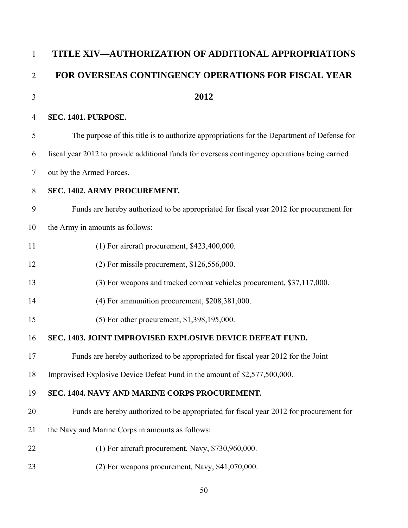| $\mathbf{1}$   | TITLE XIV-AUTHORIZATION OF ADDITIONAL APPROPRIATIONS                                           |
|----------------|------------------------------------------------------------------------------------------------|
| $\overline{2}$ | FOR OVERSEAS CONTINGENCY OPERATIONS FOR FISCAL YEAR                                            |
| 3              | 2012                                                                                           |
| 4              | SEC. 1401. PURPOSE.                                                                            |
| 5              | The purpose of this title is to authorize appropriations for the Department of Defense for     |
| 6              | fiscal year 2012 to provide additional funds for overseas contingency operations being carried |
| 7              | out by the Armed Forces.                                                                       |
| 8              | SEC. 1402. ARMY PROCUREMENT.                                                                   |
| 9              | Funds are hereby authorized to be appropriated for fiscal year 2012 for procurement for        |
| 10             | the Army in amounts as follows:                                                                |
| 11             | $(1)$ For aircraft procurement, \$423,400,000.                                                 |
| 12             | $(2)$ For missile procurement, \$126,556,000.                                                  |
| 13             | (3) For weapons and tracked combat vehicles procurement, \$37,117,000.                         |
| 14             | (4) For ammunition procurement, \$208,381,000.                                                 |
| 15             | (5) For other procurement, \$1,398,195,000.                                                    |
| 16             | SEC. 1403. JOINT IMPROVISED EXPLOSIVE DEVICE DEFEAT FUND.                                      |
| 17             | Funds are hereby authorized to be appropriated for fiscal year 2012 for the Joint              |
| 18             | Improvised Explosive Device Defeat Fund in the amount of \$2,577,500,000.                      |
| 19             | SEC. 1404. NAVY AND MARINE CORPS PROCUREMENT.                                                  |
| 20             | Funds are hereby authorized to be appropriated for fiscal year 2012 for procurement for        |
| 21             | the Navy and Marine Corps in amounts as follows:                                               |
| 22             | $(1)$ For aircraft procurement, Navy, \$730,960,000.                                           |
| 23             | (2) For weapons procurement, Navy, \$41,070,000.                                               |
|                |                                                                                                |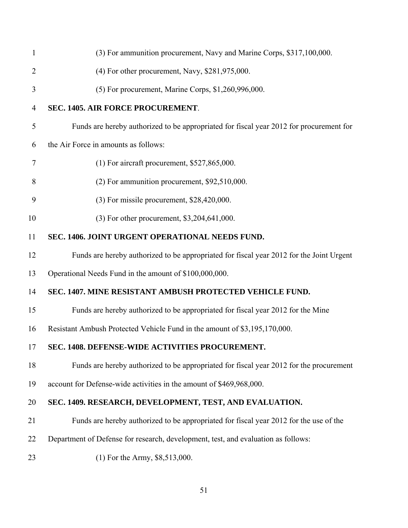| 1              | (3) For ammunition procurement, Navy and Marine Corps, \$317,100,000.                    |
|----------------|------------------------------------------------------------------------------------------|
| $\overline{2}$ | $(4)$ For other procurement, Navy, \$281,975,000.                                        |
| 3              | (5) For procurement, Marine Corps, \$1,260,996,000.                                      |
| 4              | SEC. 1405. AIR FORCE PROCUREMENT.                                                        |
| 5              | Funds are hereby authorized to be appropriated for fiscal year 2012 for procurement for  |
| 6              | the Air Force in amounts as follows:                                                     |
| 7              | $(1)$ For aircraft procurement, \$527,865,000.                                           |
| 8              | $(2)$ For ammunition procurement, \$92,510,000.                                          |
| 9              | $(3)$ For missile procurement, \$28,420,000.                                             |
| 10             | (3) For other procurement, \$3,204,641,000.                                              |
| 11             | SEC. 1406. JOINT URGENT OPERATIONAL NEEDS FUND.                                          |
| 12             | Funds are hereby authorized to be appropriated for fiscal year 2012 for the Joint Urgent |
| 13             | Operational Needs Fund in the amount of \$100,000,000.                                   |
| 14             | SEC. 1407. MINE RESISTANT AMBUSH PROTECTED VEHICLE FUND.                                 |
| 15             | Funds are hereby authorized to be appropriated for fiscal year 2012 for the Mine         |
| 16             | Resistant Ambush Protected Vehicle Fund in the amount of \$3,195,170,000.                |
| 17             | SEC. 1408. DEFENSE-WIDE ACTIVITIES PROCUREMENT.                                          |
| 18             | Funds are hereby authorized to be appropriated for fiscal year 2012 for the procurement  |
| 19             | account for Defense-wide activities in the amount of \$469,968,000.                      |
| 20             | SEC. 1409. RESEARCH, DEVELOPMENT, TEST, AND EVALUATION.                                  |
| 21             | Funds are hereby authorized to be appropriated for fiscal year 2012 for the use of the   |
| 22             | Department of Defense for research, development, test, and evaluation as follows:        |
| 23             | $(1)$ For the Army, \$8,513,000.                                                         |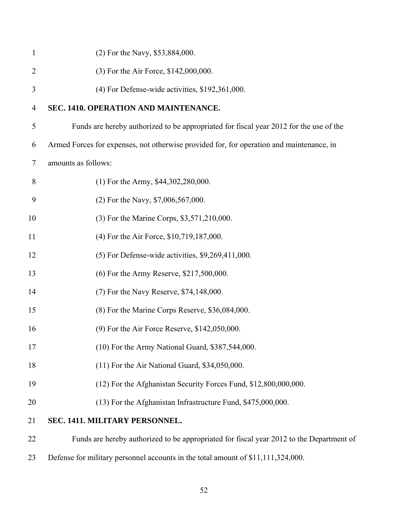| $\mathbf{1}$   | (2) For the Navy, \$53,884,000.                                                          |
|----------------|------------------------------------------------------------------------------------------|
| $\overline{2}$ | (3) For the Air Force, \$142,000,000.                                                    |
| 3              | (4) For Defense-wide activities, \$192,361,000.                                          |
| $\overline{4}$ | SEC. 1410. OPERATION AND MAINTENANCE.                                                    |
| 5              | Funds are hereby authorized to be appropriated for fiscal year 2012 for the use of the   |
| 6              | Armed Forces for expenses, not otherwise provided for, for operation and maintenance, in |
| $\tau$         | amounts as follows:                                                                      |
| 8              | $(1)$ For the Army, \$44,302,280,000.                                                    |
| 9              | $(2)$ For the Navy, \$7,006,567,000.                                                     |
| 10             | (3) For the Marine Corps, \$3,571,210,000.                                               |
| 11             | (4) For the Air Force, \$10,719,187,000.                                                 |
| 12             | $(5)$ For Defense-wide activities, \$9,269,411,000.                                      |
| 13             | (6) For the Army Reserve, \$217,500,000.                                                 |
| 14             | (7) For the Navy Reserve, \$74,148,000.                                                  |
| 15             | (8) For the Marine Corps Reserve, \$36,084,000.                                          |
| 16             | (9) For the Air Force Reserve, \$142,050,000.                                            |
| 17             | (10) For the Army National Guard, \$387,544,000.                                         |
| 18             | $(11)$ For the Air National Guard, \$34,050,000.                                         |
| 19             | (12) For the Afghanistan Security Forces Fund, \$12,800,000,000.                         |
| 20             | (13) For the Afghanistan Infrastructure Fund, \$475,000,000.                             |
| 21             | SEC. 1411. MILITARY PERSONNEL.                                                           |
| 22             | Funds are hereby authorized to be appropriated for fiscal year 2012 to the Department of |
| 23             | Defense for military personnel accounts in the total amount of \$11,111,324,000.         |